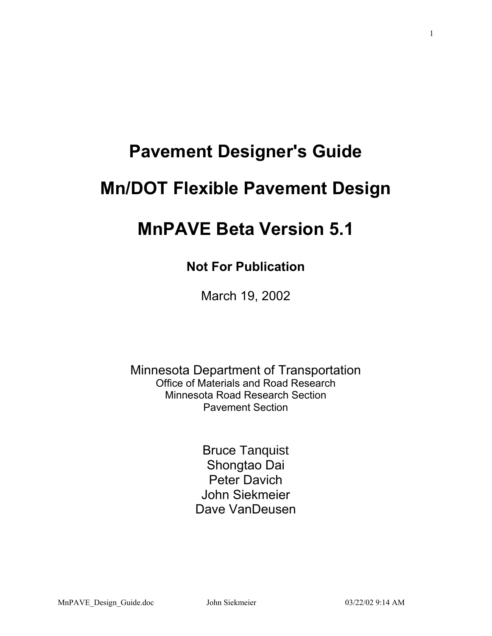# **Pavement Designer's Guide**

# **Mn/DOT Flexible Pavement Design**

# **MnPAVE Beta Version 5.1**

# **Not For Publication**

March 19, 2002

Minnesota Department of Transportation Office of Materials and Road Research Minnesota Road Research Section Pavement Section

> Bruce Tanquist Shongtao Dai Peter Davich John Siekmeier Dave VanDeusen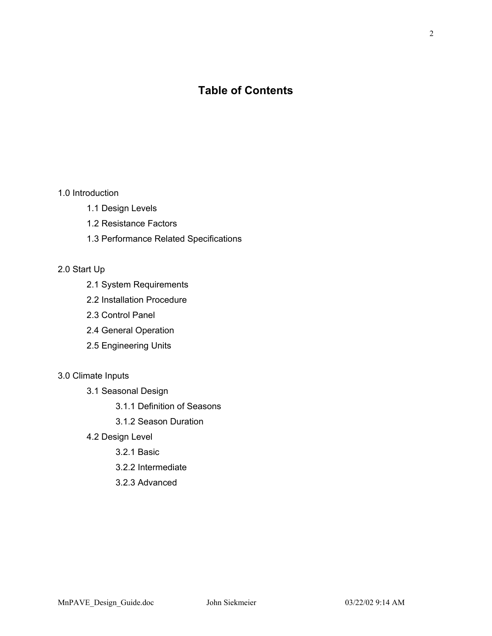# **Table of Contents**

1.0 Introduction

- 1.1 Design Levels
- 1.2 Resistance Factors
- 1.3 Performance Related Specifications

# 2.0 Start Up

- 2.1 System Requirements
- 2.2 Installation Procedure
- 2.3 Control Panel
- 2.4 General Operation
- 2.5 Engineering Units

# 3.0 Climate Inputs

- 3.1 Seasonal Design
	- 3.1.1 Definition of Seasons
	- 3.1.2 Season Duration
- 4.2 Design Level
	- 3.2.1 Basic
	- 3.2.2 Intermediate
	- 3.2.3 Advanced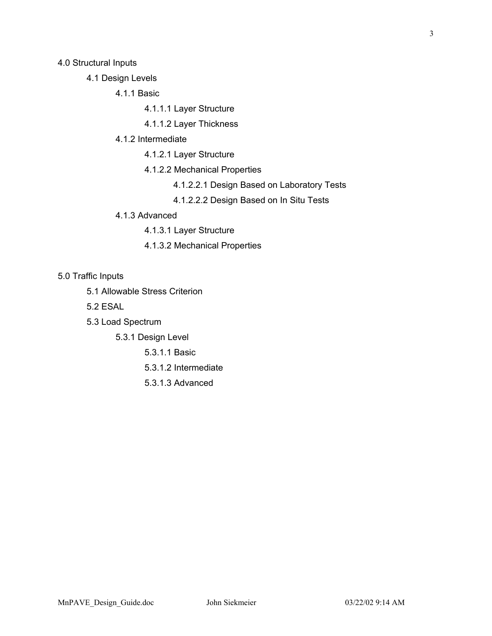4.0 Structural Inputs

- 4.1 Design Levels
	- 4.1.1 Basic
		- 4.1.1.1 Layer Structure
		- 4.1.1.2 Layer Thickness
	- 4.1.2 Intermediate
		- 4.1.2.1 Layer Structure
		- 4.1.2.2 Mechanical Properties
			- 4.1.2.2.1 Design Based on Laboratory Tests
			- 4.1.2.2.2 Design Based on In Situ Tests
	- 4.1.3 Advanced
		- 4.1.3.1 Layer Structure
		- 4.1.3.2 Mechanical Properties

5.0 Traffic Inputs

- 5.1 Allowable Stress Criterion
- 5.2 ESAL
- 5.3 Load Spectrum
	- 5.3.1 Design Level
		- 5.3.1.1 Basic
		- 5.3.1.2 Intermediate
		- 5.3.1.3 Advanced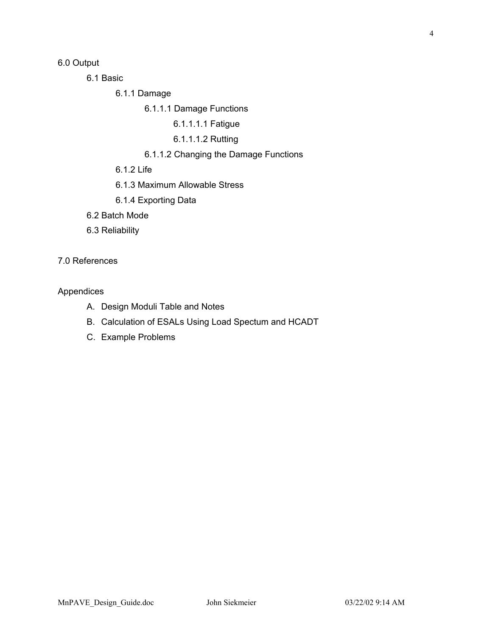6.0 Output

6.1 Basic

6.1.1 Damage

6.1.1.1 Damage Functions

6.1.1.1.1 Fatigue

6.1.1.1.2 Rutting

# 6.1.1.2 Changing the Damage Functions

6.1.2 Life

6.1.3 Maximum Allowable Stress

- 6.1.4 Exporting Data
- 6.2 Batch Mode
- 6.3 Reliability

7.0 References

# Appendices

- A. Design Moduli Table and Notes
- B. Calculation of ESALs Using Load Spectum and HCADT
- C. Example Problems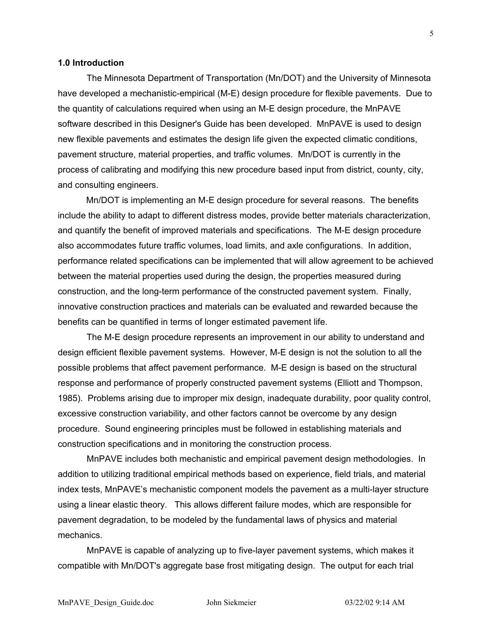#### **1.0 Introduction**

The Minnesota Department of Transportation (Mn/DOT) and the University of Minnesota have developed a mechanistic-empirical (M-E) design procedure for flexible pavements. Due to the quantity of calculations required when using an M-E design procedure, the MnPAVE software described in this Designer's Guide has been developed. MnPAVE is used to design new flexible pavements and estimates the design life given the expected climatic conditions, pavement structure, material properties, and traffic volumes. Mn/DOT is currently in the process of calibrating and modifying this new procedure based input from district, county, city, and consulting engineers.

Mn/DOT is implementing an M-E design procedure for several reasons. The benefits include the ability to adapt to different distress modes, provide better materials characterization, and quantify the benefit of improved materials and specifications. The M-E design procedure also accommodates future traffic volumes, load limits, and axle configurations. In addition, performance related specifications can be implemented that will allow agreement to be achieved between the material properties used during the design, the properties measured during construction, and the long-term performance of the constructed pavement system. Finally, innovative construction practices and materials can be evaluated and rewarded because the benefits can be quantified in terms of longer estimated pavement life.

The M-E design procedure represents an improvement in our ability to understand and design efficient flexible pavement systems. However, M-E design is not the solution to all the possible problems that affect pavement performance. M-E design is based on the structural response and performance of properly constructed pavement systems (Elliott and Thompson, 1985). Problems arising due to improper mix design, inadequate durability, poor quality control, excessive construction variability, and other factors cannot be overcome by any design procedure. Sound engineering principles must be followed in establishing materials and construction specifications and in monitoring the construction process.

MnPAVE includes both mechanistic and empirical pavement design methodologies. In addition to utilizing traditional empirical methods based on experience, field trials, and material index tests, MnPAVE's mechanistic component models the pavement as a multi-layer structure using a linear elastic theory. This allows different failure modes, which are responsible for pavement degradation, to be modeled by the fundamental laws of physics and material mechanics.

MnPAVE is capable of analyzing up to five-layer pavement systems, which makes it compatible with Mn/DOT's aggregate base frost mitigating design. The output for each trial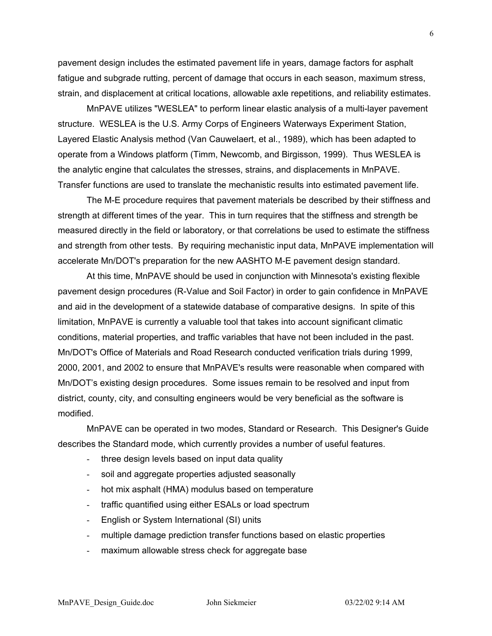pavement design includes the estimated pavement life in years, damage factors for asphalt fatigue and subgrade rutting, percent of damage that occurs in each season, maximum stress, strain, and displacement at critical locations, allowable axle repetitions, and reliability estimates.

MnPAVE utilizes "WESLEA" to perform linear elastic analysis of a multi-layer pavement structure. WESLEA is the U.S. Army Corps of Engineers Waterways Experiment Station, Layered Elastic Analysis method (Van Cauwelaert, et al., 1989), which has been adapted to operate from a Windows platform (Timm, Newcomb, and Birgisson, 1999). Thus WESLEA is the analytic engine that calculates the stresses, strains, and displacements in MnPAVE. Transfer functions are used to translate the mechanistic results into estimated pavement life.

The M-E procedure requires that pavement materials be described by their stiffness and strength at different times of the year. This in turn requires that the stiffness and strength be measured directly in the field or laboratory, or that correlations be used to estimate the stiffness and strength from other tests. By requiring mechanistic input data, MnPAVE implementation will accelerate Mn/DOT's preparation for the new AASHTO M-E pavement design standard.

At this time, MnPAVE should be used in conjunction with Minnesota's existing flexible pavement design procedures (R-Value and Soil Factor) in order to gain confidence in MnPAVE and aid in the development of a statewide database of comparative designs. In spite of this limitation, MnPAVE is currently a valuable tool that takes into account significant climatic conditions, material properties, and traffic variables that have not been included in the past. Mn/DOT's Office of Materials and Road Research conducted verification trials during 1999, 2000, 2001, and 2002 to ensure that MnPAVE's results were reasonable when compared with Mn/DOT's existing design procedures. Some issues remain to be resolved and input from district, county, city, and consulting engineers would be very beneficial as the software is modified.

MnPAVE can be operated in two modes, Standard or Research. This Designer's Guide describes the Standard mode, which currently provides a number of useful features.

- three design levels based on input data quality
- soil and aggregate properties adjusted seasonally
- hot mix asphalt (HMA) modulus based on temperature
- traffic quantified using either ESALs or load spectrum
- English or System International (SI) units
- multiple damage prediction transfer functions based on elastic properties
- maximum allowable stress check for aggregate base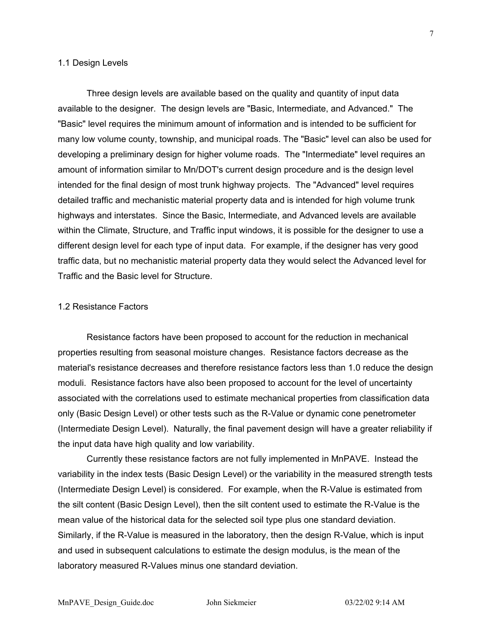#### 1.1 Design Levels

Three design levels are available based on the quality and quantity of input data available to the designer. The design levels are "Basic, Intermediate, and Advanced." The "Basic" level requires the minimum amount of information and is intended to be sufficient for many low volume county, township, and municipal roads. The "Basic" level can also be used for developing a preliminary design for higher volume roads. The "Intermediate" level requires an amount of information similar to Mn/DOT's current design procedure and is the design level intended for the final design of most trunk highway projects. The "Advanced" level requires detailed traffic and mechanistic material property data and is intended for high volume trunk highways and interstates. Since the Basic, Intermediate, and Advanced levels are available within the Climate, Structure, and Traffic input windows, it is possible for the designer to use a different design level for each type of input data. For example, if the designer has very good traffic data, but no mechanistic material property data they would select the Advanced level for Traffic and the Basic level for Structure.

#### 1.2 Resistance Factors

Resistance factors have been proposed to account for the reduction in mechanical properties resulting from seasonal moisture changes. Resistance factors decrease as the material's resistance decreases and therefore resistance factors less than 1.0 reduce the design moduli. Resistance factors have also been proposed to account for the level of uncertainty associated with the correlations used to estimate mechanical properties from classification data only (Basic Design Level) or other tests such as the R-Value or dynamic cone penetrometer (Intermediate Design Level). Naturally, the final pavement design will have a greater reliability if the input data have high quality and low variability.

Currently these resistance factors are not fully implemented in MnPAVE. Instead the variability in the index tests (Basic Design Level) or the variability in the measured strength tests (Intermediate Design Level) is considered. For example, when the R-Value is estimated from the silt content (Basic Design Level), then the silt content used to estimate the R-Value is the mean value of the historical data for the selected soil type plus one standard deviation. Similarly, if the R-Value is measured in the laboratory, then the design R-Value, which is input and used in subsequent calculations to estimate the design modulus, is the mean of the laboratory measured R-Values minus one standard deviation.

7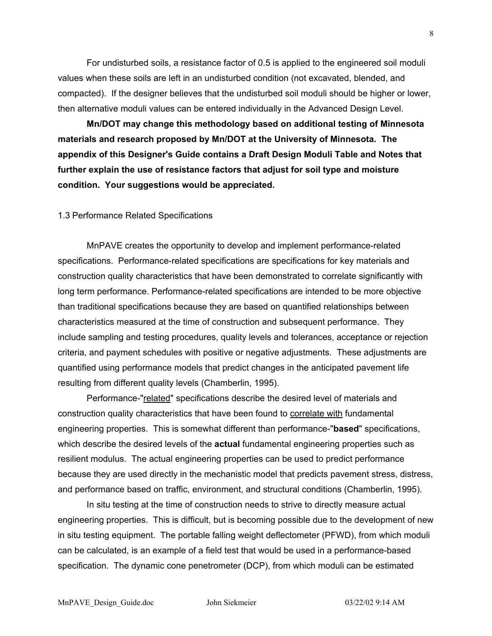For undisturbed soils, a resistance factor of 0.5 is applied to the engineered soil moduli values when these soils are left in an undisturbed condition (not excavated, blended, and compacted). If the designer believes that the undisturbed soil moduli should be higher or lower, then alternative moduli values can be entered individually in the Advanced Design Level.

**Mn/DOT may change this methodology based on additional testing of Minnesota materials and research proposed by Mn/DOT at the University of Minnesota. The appendix of this Designer's Guide contains a Draft Design Moduli Table and Notes that further explain the use of resistance factors that adjust for soil type and moisture condition. Your suggestions would be appreciated.** 

#### 1.3 Performance Related Specifications

MnPAVE creates the opportunity to develop and implement performance-related specifications. Performance-related specifications are specifications for key materials and construction quality characteristics that have been demonstrated to correlate significantly with long term performance. Performance-related specifications are intended to be more objective than traditional specifications because they are based on quantified relationships between characteristics measured at the time of construction and subsequent performance. They include sampling and testing procedures, quality levels and tolerances, acceptance or rejection criteria, and payment schedules with positive or negative adjustments. These adjustments are quantified using performance models that predict changes in the anticipated pavement life resulting from different quality levels (Chamberlin, 1995).

Performance-"related" specifications describe the desired level of materials and construction quality characteristics that have been found to correlate with fundamental engineering properties. This is somewhat different than performance-"**based**" specifications, which describe the desired levels of the **actual** fundamental engineering properties such as resilient modulus. The actual engineering properties can be used to predict performance because they are used directly in the mechanistic model that predicts pavement stress, distress, and performance based on traffic, environment, and structural conditions (Chamberlin, 1995).

In situ testing at the time of construction needs to strive to directly measure actual engineering properties. This is difficult, but is becoming possible due to the development of new in situ testing equipment. The portable falling weight deflectometer (PFWD), from which moduli can be calculated, is an example of a field test that would be used in a performance-based specification. The dynamic cone penetrometer (DCP), from which moduli can be estimated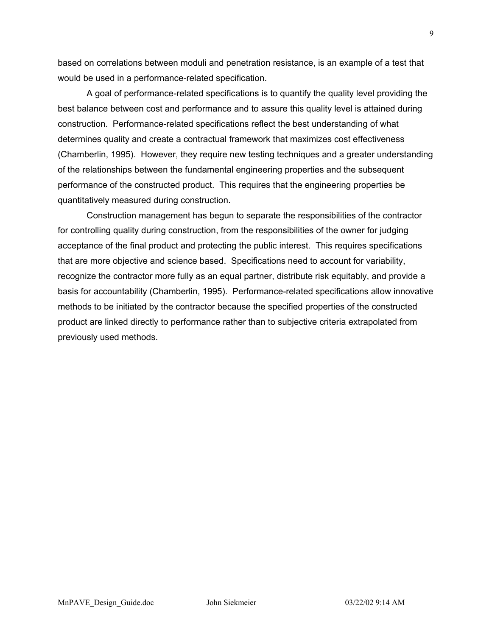based on correlations between moduli and penetration resistance, is an example of a test that would be used in a performance-related specification.

A goal of performance-related specifications is to quantify the quality level providing the best balance between cost and performance and to assure this quality level is attained during construction. Performance-related specifications reflect the best understanding of what determines quality and create a contractual framework that maximizes cost effectiveness (Chamberlin, 1995). However, they require new testing techniques and a greater understanding of the relationships between the fundamental engineering properties and the subsequent performance of the constructed product. This requires that the engineering properties be quantitatively measured during construction.

Construction management has begun to separate the responsibilities of the contractor for controlling quality during construction, from the responsibilities of the owner for judging acceptance of the final product and protecting the public interest. This requires specifications that are more objective and science based. Specifications need to account for variability, recognize the contractor more fully as an equal partner, distribute risk equitably, and provide a basis for accountability (Chamberlin, 1995). Performance-related specifications allow innovative methods to be initiated by the contractor because the specified properties of the constructed product are linked directly to performance rather than to subjective criteria extrapolated from previously used methods.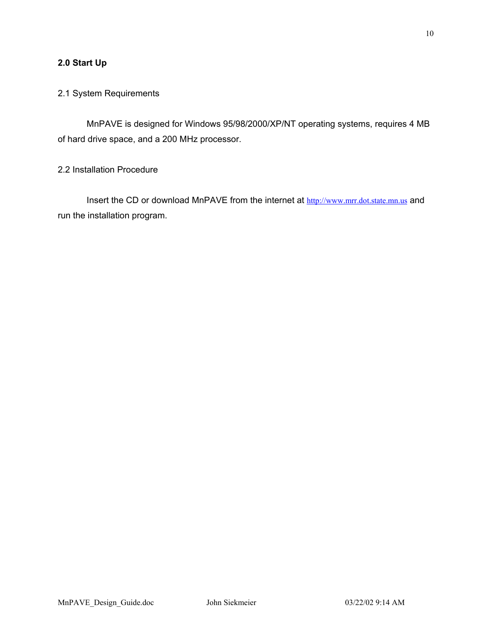# **2.0 Start Up**

# 2.1 System Requirements

MnPAVE is designed for Windows 95/98/2000/XP/NT operating systems, requires 4 MB of hard drive space, and a 200 MHz processor.

2.2 Installation Procedure

Insert the CD or download MnPAVE from the internet at [http://www.mrr.dot.state.mn.us](http://mnroad.dot.state.mn.us/research/MnROAD_Project/restools/restools90.asp) and run the installation program.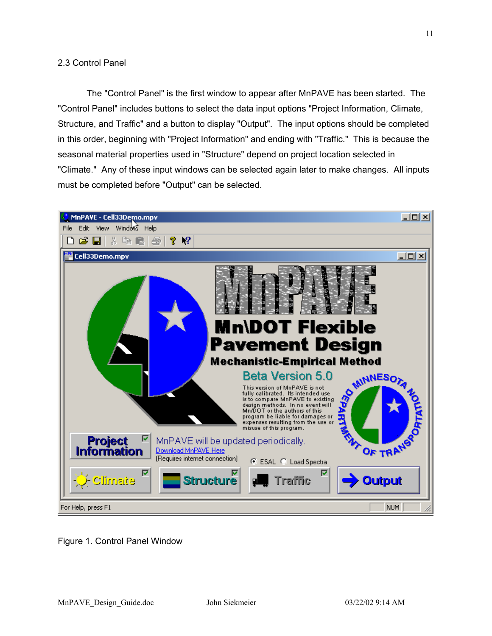#### 2.3 Control Panel

The "Control Panel" is the first window to appear after MnPAVE has been started. The "Control Panel" includes buttons to select the data input options "Project Information, Climate, Structure, and Traffic" and a button to display "Output". The input options should be completed in this order, beginning with "Project Information" and ending with "Traffic." This is because the seasonal material properties used in "Structure" depend on project location selected in "Climate." Any of these input windows can be selected again later to make changes. All inputs must be completed before "Output" can be selected.



Figure 1. Control Panel Window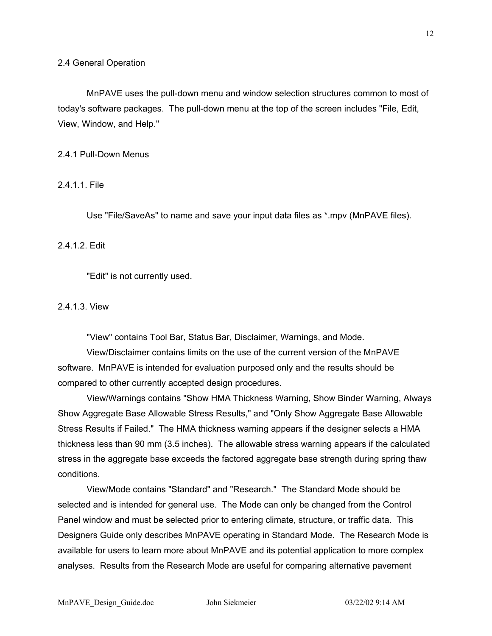MnPAVE uses the pull-down menu and window selection structures common to most of today's software packages. The pull-down menu at the top of the screen includes "File, Edit, View, Window, and Help."

2.4.1 Pull-Down Menus

2.4.1.1. File

Use "File/SaveAs" to name and save your input data files as \*.mpv (MnPAVE files).

2.4.1.2. Edit

"Edit" is not currently used.

#### 2.4.1.3. View

"View" contains Tool Bar, Status Bar, Disclaimer, Warnings, and Mode.

View/Disclaimer contains limits on the use of the current version of the MnPAVE software. MnPAVE is intended for evaluation purposed only and the results should be compared to other currently accepted design procedures.

View/Warnings contains "Show HMA Thickness Warning, Show Binder Warning, Always Show Aggregate Base Allowable Stress Results," and "Only Show Aggregate Base Allowable Stress Results if Failed." The HMA thickness warning appears if the designer selects a HMA thickness less than 90 mm (3.5 inches). The allowable stress warning appears if the calculated stress in the aggregate base exceeds the factored aggregate base strength during spring thaw conditions.

View/Mode contains "Standard" and "Research." The Standard Mode should be selected and is intended for general use. The Mode can only be changed from the Control Panel window and must be selected prior to entering climate, structure, or traffic data. This Designers Guide only describes MnPAVE operating in Standard Mode. The Research Mode is available for users to learn more about MnPAVE and its potential application to more complex analyses. Results from the Research Mode are useful for comparing alternative pavement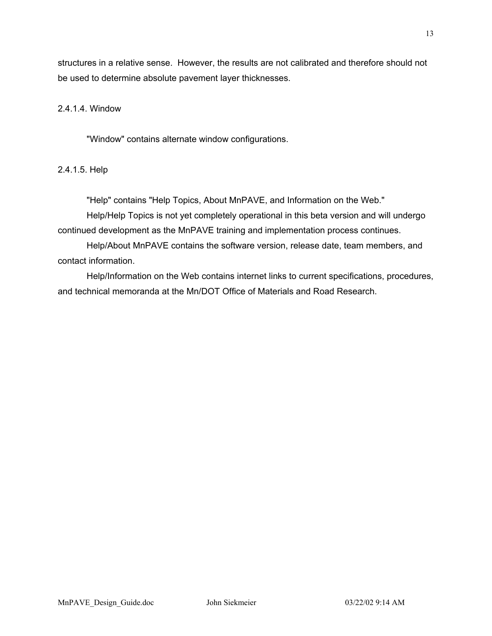structures in a relative sense. However, the results are not calibrated and therefore should not be used to determine absolute pavement layer thicknesses.

# 2.4.1.4. Window

"Window" contains alternate window configurations.

#### 2.4.1.5. Help

"Help" contains "Help Topics, About MnPAVE, and Information on the Web."

Help/Help Topics is not yet completely operational in this beta version and will undergo continued development as the MnPAVE training and implementation process continues.

Help/About MnPAVE contains the software version, release date, team members, and contact information.

Help/Information on the Web contains internet links to current specifications, procedures, and technical memoranda at the Mn/DOT Office of Materials and Road Research.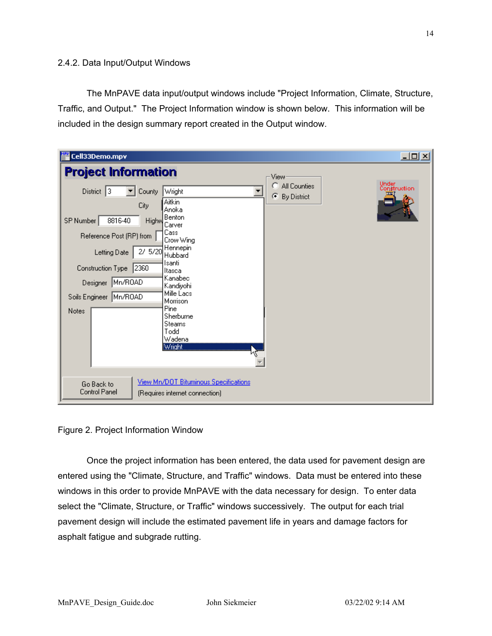#### 2.4.2. Data Input/Output Windows

The MnPAVE data input/output windows include "Project Information, Climate, Structure, Traffic, and Output." The Project Information window is shown below. This information will be included in the design summary report created in the Output window.

| Cell33Demo.mpv                                                                                                                                                                                                                                                                                                                                                                                                                                  | $\Box$ D $\times$                                                     |
|-------------------------------------------------------------------------------------------------------------------------------------------------------------------------------------------------------------------------------------------------------------------------------------------------------------------------------------------------------------------------------------------------------------------------------------------------|-----------------------------------------------------------------------|
| <b>Project Information</b>                                                                                                                                                                                                                                                                                                                                                                                                                      | View                                                                  |
| District $ 3 $<br>County<br>Wright<br>Aitkin<br>City<br>Anoka<br>Benton<br>8816-40<br>SP Number<br>Highw<br>Carver<br>Cass<br>Reference Post (RP) from<br>Crow Wing<br>Hennepin<br>Letting Date 2/ 5/20<br>Hubbard<br>Isanti<br>Construction Type 2360<br>Itasca<br>Kanabec<br>Mn/ROAD<br>Designer<br>Kandivohi<br>Mille Lacs<br>Soils Engineer Mn/ROAD<br>Morrison<br>Pine<br><b>Notes</b><br>Sherburne<br>Stearns<br>Todd<br>Wadena<br>Wright | Under<br>Construction<br>All Counties<br>O<br>G<br><b>By District</b> |
| View Mn/DOT Bituminous Specifications<br>Go Back to<br>Control Panel<br>(Requires internet connection)                                                                                                                                                                                                                                                                                                                                          |                                                                       |

Figure 2. Project Information Window

Once the project information has been entered, the data used for pavement design are entered using the "Climate, Structure, and Traffic" windows. Data must be entered into these windows in this order to provide MnPAVE with the data necessary for design. To enter data select the "Climate, Structure, or Traffic" windows successively. The output for each trial pavement design will include the estimated pavement life in years and damage factors for asphalt fatigue and subgrade rutting.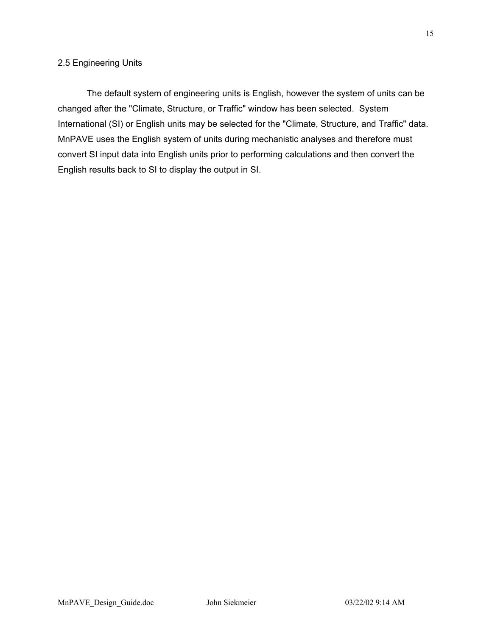### 2.5 Engineering Units

The default system of engineering units is English, however the system of units can be changed after the "Climate, Structure, or Traffic" window has been selected. System International (SI) or English units may be selected for the "Climate, Structure, and Traffic" data. MnPAVE uses the English system of units during mechanistic analyses and therefore must convert SI input data into English units prior to performing calculations and then convert the English results back to SI to display the output in SI.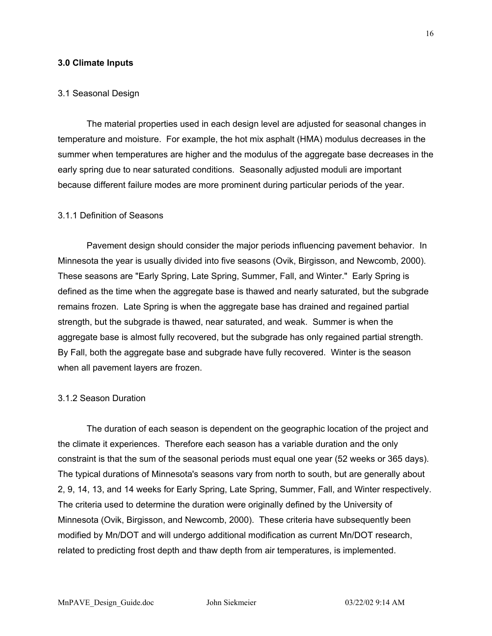#### **3.0 Climate Inputs**

#### 3.1 Seasonal Design

The material properties used in each design level are adjusted for seasonal changes in temperature and moisture. For example, the hot mix asphalt (HMA) modulus decreases in the summer when temperatures are higher and the modulus of the aggregate base decreases in the early spring due to near saturated conditions. Seasonally adjusted moduli are important because different failure modes are more prominent during particular periods of the year.

#### 3.1.1 Definition of Seasons

Pavement design should consider the major periods influencing pavement behavior. In Minnesota the year is usually divided into five seasons (Ovik, Birgisson, and Newcomb, 2000). These seasons are "Early Spring, Late Spring, Summer, Fall, and Winter." Early Spring is defined as the time when the aggregate base is thawed and nearly saturated, but the subgrade remains frozen. Late Spring is when the aggregate base has drained and regained partial strength, but the subgrade is thawed, near saturated, and weak. Summer is when the aggregate base is almost fully recovered, but the subgrade has only regained partial strength. By Fall, both the aggregate base and subgrade have fully recovered. Winter is the season when all pavement layers are frozen.

#### 3.1.2 Season Duration

The duration of each season is dependent on the geographic location of the project and the climate it experiences. Therefore each season has a variable duration and the only constraint is that the sum of the seasonal periods must equal one year (52 weeks or 365 days). The typical durations of Minnesota's seasons vary from north to south, but are generally about 2, 9, 14, 13, and 14 weeks for Early Spring, Late Spring, Summer, Fall, and Winter respectively. The criteria used to determine the duration were originally defined by the University of Minnesota (Ovik, Birgisson, and Newcomb, 2000). These criteria have subsequently been modified by Mn/DOT and will undergo additional modification as current Mn/DOT research, related to predicting frost depth and thaw depth from air temperatures, is implemented.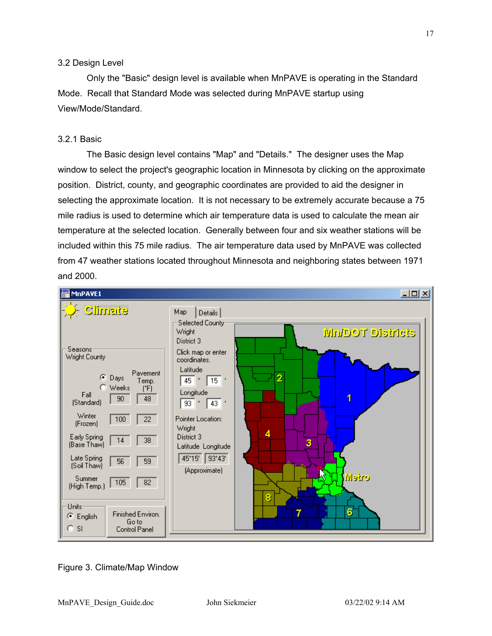#### 3.2 Design Level

Only the "Basic" design level is available when MnPAVE is operating in the Standard Mode. Recall that Standard Mode was selected during MnPAVE startup using View/Mode/Standard.

# 3.2.1 Basic

The Basic design level contains "Map" and "Details." The designer uses the Map window to select the project's geographic location in Minnesota by clicking on the approximate position. District, county, and geographic coordinates are provided to aid the designer in selecting the approximate location. It is not necessary to be extremely accurate because a 75 mile radius is used to determine which air temperature data is used to calculate the mean air temperature at the selected location. Generally between four and six weather stations will be included within this 75 mile radius. The air temperature data used by MnPAVE was collected from 47 weather stations located throughout Minnesota and neighboring states between 1971 and 2000.



Figure 3. Climate/Map Window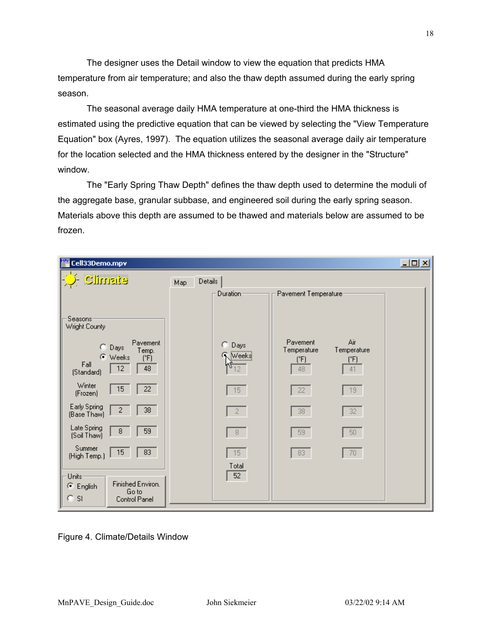The designer uses the Detail window to view the equation that predicts HMA temperature from air temperature; and also the thaw depth assumed during the early spring season.

The seasonal average daily HMA temperature at one-third the HMA thickness is estimated using the predictive equation that can be viewed by selecting the "View Temperature Equation" box (Ayres, 1997). The equation utilizes the seasonal average daily air temperature for the location selected and the HMA thickness entered by the designer in the "Structure" window.

The "Early Spring Thaw Depth" defines the thaw depth used to determine the moduli of the aggregate base, granular subbase, and engineered soil during the early spring season. Materials above this depth are assumed to be thawed and materials below are assumed to be frozen.

| Cell33Demo.mpv                                                                                     |                                                                                                                           | $\Box$ u $\times$ |
|----------------------------------------------------------------------------------------------------|---------------------------------------------------------------------------------------------------------------------------|-------------------|
| <b>Climate</b>                                                                                     | Details<br>Map                                                                                                            |                   |
|                                                                                                    | Duration-<br>Pavement Temperature:                                                                                        |                   |
| Seasons:<br>Wright County                                                                          |                                                                                                                           |                   |
| Pavement<br>$\bigcirc$ Days<br>Temp.<br>C Weeks<br>$(^{\circ}F)$<br>Fall<br>48<br>12<br>(Standard) | Air<br>Pavement<br>О.<br>Days<br>Temperature<br>Temperature<br><b>Weeks</b><br>$(^{\circ}F)$<br>$(^{\circ}F)$<br>48<br>41 |                   |
| Winter<br>15<br>22<br>(Frozen)                                                                     | 15<br>19<br>22                                                                                                            |                   |
| Early Spring<br>38<br>2<br>(Base Thaw)                                                             | 38<br>32<br>$2 -$                                                                                                         |                   |
| Late Spring<br>59<br>8<br>(Soil Thaw)                                                              | 50<br>8<br>59                                                                                                             |                   |
| Summer<br>15 <sub>15</sub><br>83<br>(High Temp.)                                                   | 83<br>70<br>15                                                                                                            |                   |
| Units<br>Finished Environ.<br>C English<br>Go to<br>$C$ SI<br>Control Panel                        | Total<br>52                                                                                                               |                   |

Figure 4. Climate/Details Window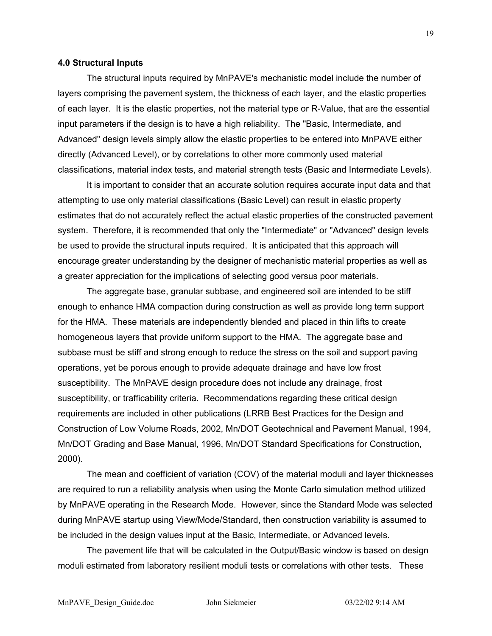#### **4.0 Structural Inputs**

The structural inputs required by MnPAVE's mechanistic model include the number of layers comprising the pavement system, the thickness of each layer, and the elastic properties of each layer. It is the elastic properties, not the material type or R-Value, that are the essential input parameters if the design is to have a high reliability. The "Basic, Intermediate, and Advanced" design levels simply allow the elastic properties to be entered into MnPAVE either directly (Advanced Level), or by correlations to other more commonly used material classifications, material index tests, and material strength tests (Basic and Intermediate Levels).

It is important to consider that an accurate solution requires accurate input data and that attempting to use only material classifications (Basic Level) can result in elastic property estimates that do not accurately reflect the actual elastic properties of the constructed pavement system. Therefore, it is recommended that only the "Intermediate" or "Advanced" design levels be used to provide the structural inputs required. It is anticipated that this approach will encourage greater understanding by the designer of mechanistic material properties as well as a greater appreciation for the implications of selecting good versus poor materials.

The aggregate base, granular subbase, and engineered soil are intended to be stiff enough to enhance HMA compaction during construction as well as provide long term support for the HMA. These materials are independently blended and placed in thin lifts to create homogeneous layers that provide uniform support to the HMA. The aggregate base and subbase must be stiff and strong enough to reduce the stress on the soil and support paving operations, yet be porous enough to provide adequate drainage and have low frost susceptibility. The MnPAVE design procedure does not include any drainage, frost susceptibility, or trafficability criteria. Recommendations regarding these critical design requirements are included in other publications (LRRB Best Practices for the Design and Construction of Low Volume Roads, 2002, Mn/DOT Geotechnical and Pavement Manual, 1994, Mn/DOT Grading and Base Manual, 1996, Mn/DOT Standard Specifications for Construction, 2000).

The mean and coefficient of variation (COV) of the material moduli and layer thicknesses are required to run a reliability analysis when using the Monte Carlo simulation method utilized by MnPAVE operating in the Research Mode. However, since the Standard Mode was selected during MnPAVE startup using View/Mode/Standard, then construction variability is assumed to be included in the design values input at the Basic, Intermediate, or Advanced levels.

The pavement life that will be calculated in the Output/Basic window is based on design moduli estimated from laboratory resilient moduli tests or correlations with other tests. These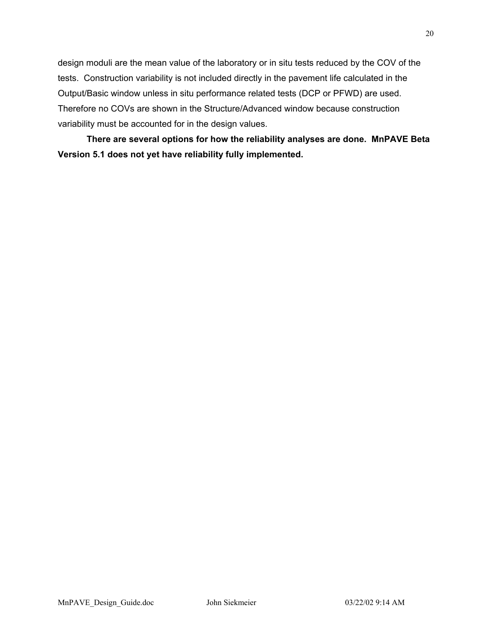design moduli are the mean value of the laboratory or in situ tests reduced by the COV of the tests. Construction variability is not included directly in the pavement life calculated in the Output/Basic window unless in situ performance related tests (DCP or PFWD) are used. Therefore no COVs are shown in the Structure/Advanced window because construction variability must be accounted for in the design values.

**There are several options for how the reliability analyses are done. MnPAVE Beta Version 5.1 does not yet have reliability fully implemented.**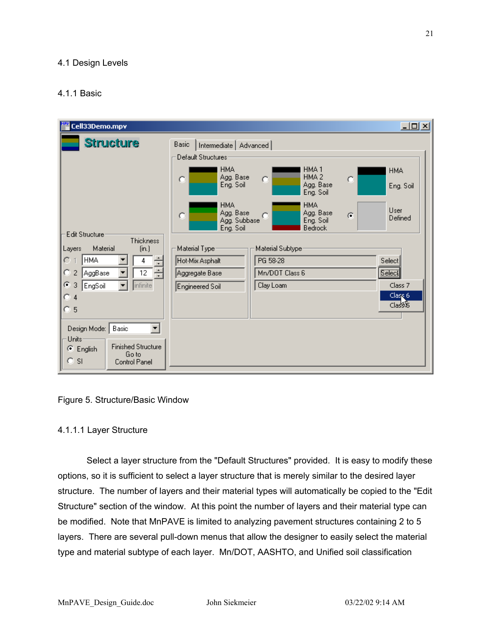### 4.1 Design Levels

# 4.1.1 Basic

| Cell33Demo.mpv                                                                                                | $\Box$                                                                                                                                                        |  |
|---------------------------------------------------------------------------------------------------------------|---------------------------------------------------------------------------------------------------------------------------------------------------------------|--|
| <b>Structure</b>                                                                                              | Basic<br>Intermediate   Advanced  <br>Default Structures                                                                                                      |  |
|                                                                                                               | <b>HMA</b><br>HMA <sub>1</sub><br><b>HMA</b><br>HMA <sub>2</sub><br>Agg. Base<br>$\circ$<br>O<br>о<br>Agg. Base<br>Eng. Soil<br>Eng. Soil<br>Eng. Soil        |  |
| Edit Structure                                                                                                | <b>HMA</b><br><b>HMA</b><br><b>User</b><br>Agg. Base<br>Agg. Base<br>$\circ$<br>G<br>O<br>Defined<br>Agg. Subbase<br>Eng. Soil<br>Eng. Soil<br><b>Bedrock</b> |  |
| Thickness<br>Material<br>Layers<br>(in.)<br> HMA <br>÷<br>O<br>4<br>족<br>O<br>12<br>AggBase<br>$\overline{2}$ | Material Type-<br>Material Subtype:<br>PG 58-28<br>Select<br>Hot-Mix Asphalt<br>Select<br>Mn/DOT Class 6<br>Aggregate Base                                    |  |
| ø<br>infinite<br>3<br>EngSoil<br>o<br>4<br>O<br>5                                                             | Clay Loam<br>Class 7<br>Engineered Soil<br>Class <sub>6</sub><br>Class&                                                                                       |  |
| Design Mode:   Basic<br>Units-<br><b>Finished Structure</b><br>C English<br>Go to<br>$C$ SI<br>Control Panel  |                                                                                                                                                               |  |

#### Figure 5. Structure/Basic Window

#### 4.1.1.1 Layer Structure

Select a layer structure from the "Default Structures" provided. It is easy to modify these options, so it is sufficient to select a layer structure that is merely similar to the desired layer structure. The number of layers and their material types will automatically be copied to the "Edit Structure" section of the window. At this point the number of layers and their material type can be modified. Note that MnPAVE is limited to analyzing pavement structures containing 2 to 5 layers. There are several pull-down menus that allow the designer to easily select the material type and material subtype of each layer. Mn/DOT, AASHTO, and Unified soil classification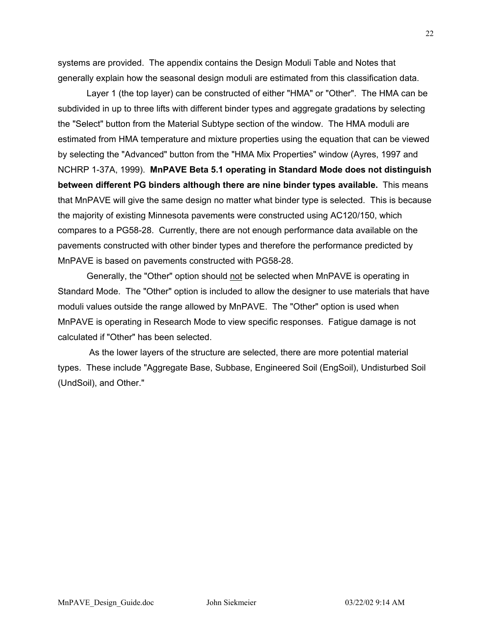systems are provided. The appendix contains the Design Moduli Table and Notes that generally explain how the seasonal design moduli are estimated from this classification data.

Layer 1 (the top layer) can be constructed of either "HMA" or "Other". The HMA can be subdivided in up to three lifts with different binder types and aggregate gradations by selecting the "Select" button from the Material Subtype section of the window. The HMA moduli are estimated from HMA temperature and mixture properties using the equation that can be viewed by selecting the "Advanced" button from the "HMA Mix Properties" window (Ayres, 1997 and NCHRP 1-37A, 1999). **MnPAVE Beta 5.1 operating in Standard Mode does not distinguish between different PG binders although there are nine binder types available.** This means that MnPAVE will give the same design no matter what binder type is selected. This is because the majority of existing Minnesota pavements were constructed using AC120/150, which compares to a PG58-28. Currently, there are not enough performance data available on the pavements constructed with other binder types and therefore the performance predicted by MnPAVE is based on pavements constructed with PG58-28.

Generally, the "Other" option should not be selected when MnPAVE is operating in Standard Mode. The "Other" option is included to allow the designer to use materials that have moduli values outside the range allowed by MnPAVE. The "Other" option is used when MnPAVE is operating in Research Mode to view specific responses. Fatigue damage is not calculated if "Other" has been selected.

 As the lower layers of the structure are selected, there are more potential material types. These include "Aggregate Base, Subbase, Engineered Soil (EngSoil), Undisturbed Soil (UndSoil), and Other."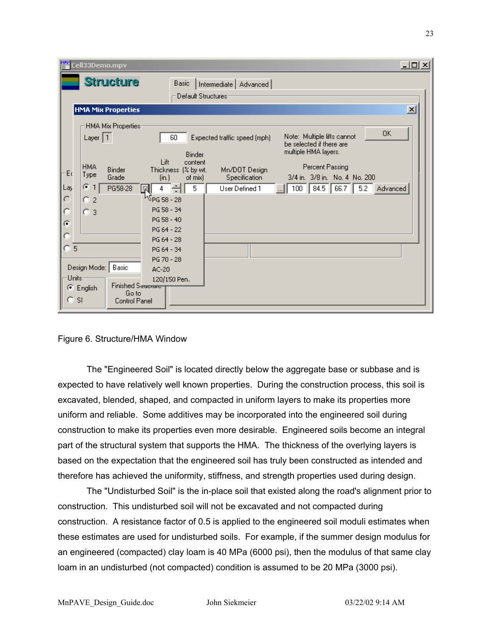| Cell33Demo.mpv                                                                                                                                                                                                                                                                                | $\Box$                                                                                                                                                                                                                                                                                                                                                                                                                                                                                                                |
|-----------------------------------------------------------------------------------------------------------------------------------------------------------------------------------------------------------------------------------------------------------------------------------------------|-----------------------------------------------------------------------------------------------------------------------------------------------------------------------------------------------------------------------------------------------------------------------------------------------------------------------------------------------------------------------------------------------------------------------------------------------------------------------------------------------------------------------|
| <b>Structure</b>                                                                                                                                                                                                                                                                              | <b>Basic</b><br>Intermediate   Advanced  <br>Default Structures-                                                                                                                                                                                                                                                                                                                                                                                                                                                      |
| <b>HMA Mix Properties</b>                                                                                                                                                                                                                                                                     | $\vert x \vert$                                                                                                                                                                                                                                                                                                                                                                                                                                                                                                       |
| HMA Mix Properties-<br>Layer $ 1 $<br><b>HMA</b><br>Binder<br>Eα<br>Type<br>Grade<br>G.<br>Lay<br>$\blacklozenge$<br>PG58-28<br>о<br>$\overline{c}$<br>3<br>G<br>ТO<br>5<br>Design Mode:<br>Basic<br>Units-<br>Finished Sacrocare<br>c<br>English<br>Go to<br>о<br><b>SI</b><br>Control Panel | <b>OK</b><br>Note: Multiple lifts cannot<br>60<br>Expected traffic speed (mph)<br>be selected if there are<br>multiple HMA layers.<br>Binder<br>Lift<br>content<br>Percent Passing<br>Mn/DOT Design<br>Thickness (% by wt.<br>3/4 in. 3/8 in. No. 4 No. 200<br>Specification<br>of mix)<br>(in.)<br>5<br>84.5<br>66.7<br>5.2<br>4<br>User Defined 1<br>100<br>Advanced<br>R<br><sup>W</sup> PG 58 - 28<br>PG 58 - 34<br>PG 58 - 40<br>PG 64 - 22<br>PG 64 - 28<br>PG 64 - 34<br>PG 70 - 28<br>$AC-20$<br>120/150 Pen. |

#### Figure 6. Structure/HMA Window

The "Engineered Soil" is located directly below the aggregate base or subbase and is expected to have relatively well known properties. During the construction process, this soil is excavated, blended, shaped, and compacted in uniform layers to make its properties more uniform and reliable. Some additives may be incorporated into the engineered soil during construction to make its properties even more desirable. Engineered soils become an integral part of the structural system that supports the HMA. The thickness of the overlying layers is based on the expectation that the engineered soil has truly been constructed as intended and therefore has achieved the uniformity, stiffness, and strength properties used during design.

The "Undisturbed Soil" is the in-place soil that existed along the road's alignment prior to construction. This undisturbed soil will not be excavated and not compacted during construction. A resistance factor of 0.5 is applied to the engineered soil moduli estimates when these estimates are used for undisturbed soils. For example, if the summer design modulus for an engineered (compacted) clay loam is 40 MPa (6000 psi), then the modulus of that same clay loam in an undisturbed (not compacted) condition is assumed to be 20 MPa (3000 psi).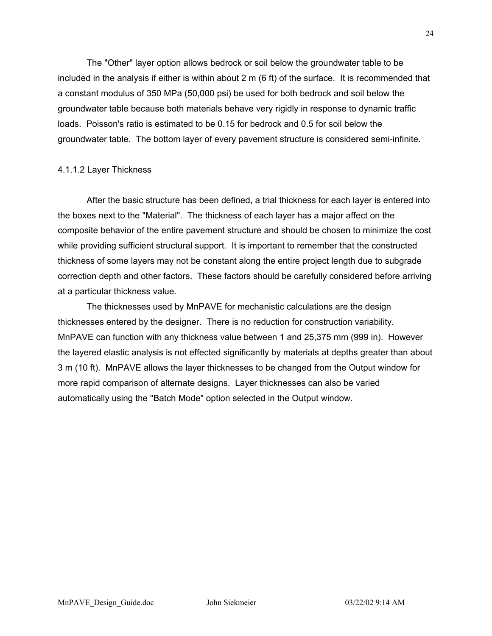The "Other" layer option allows bedrock or soil below the groundwater table to be included in the analysis if either is within about 2 m (6 ft) of the surface. It is recommended that a constant modulus of 350 MPa (50,000 psi) be used for both bedrock and soil below the groundwater table because both materials behave very rigidly in response to dynamic traffic loads. Poisson's ratio is estimated to be 0.15 for bedrock and 0.5 for soil below the groundwater table. The bottom layer of every pavement structure is considered semi-infinite.

#### 4.1.1.2 Layer Thickness

After the basic structure has been defined, a trial thickness for each layer is entered into the boxes next to the "Material". The thickness of each layer has a major affect on the composite behavior of the entire pavement structure and should be chosen to minimize the cost while providing sufficient structural support. It is important to remember that the constructed thickness of some layers may not be constant along the entire project length due to subgrade correction depth and other factors. These factors should be carefully considered before arriving at a particular thickness value.

The thicknesses used by MnPAVE for mechanistic calculations are the design thicknesses entered by the designer. There is no reduction for construction variability. MnPAVE can function with any thickness value between 1 and 25,375 mm (999 in). However the layered elastic analysis is not effected significantly by materials at depths greater than about 3 m (10 ft). MnPAVE allows the layer thicknesses to be changed from the Output window for more rapid comparison of alternate designs. Layer thicknesses can also be varied automatically using the "Batch Mode" option selected in the Output window.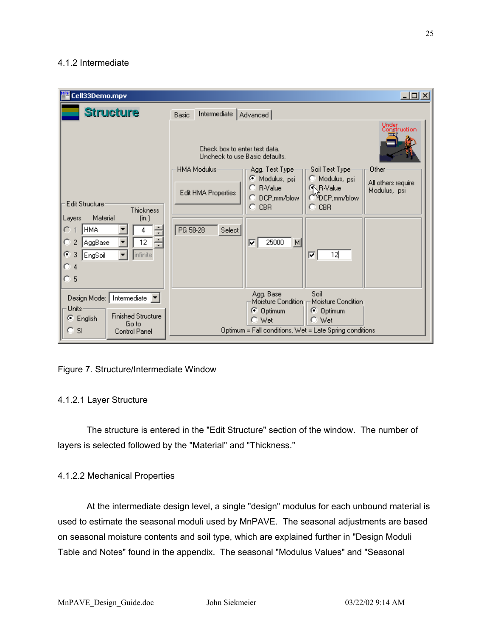### 4.1.2 Intermediate

| Cell33Demo.mpv                                                                                                                                                                   | $\Box$ olxi                                                                                                                                                                                                                                                                                                                                                                                                   |  |
|----------------------------------------------------------------------------------------------------------------------------------------------------------------------------------|---------------------------------------------------------------------------------------------------------------------------------------------------------------------------------------------------------------------------------------------------------------------------------------------------------------------------------------------------------------------------------------------------------------|--|
| <b>Structure</b>                                                                                                                                                                 | Intermediate<br>Basic<br>Advanced                                                                                                                                                                                                                                                                                                                                                                             |  |
| <b>Edit Structure</b><br>Thickness<br>Material<br>$[$ in. $]$<br>Layers<br>HMA.<br>C.<br>4<br>12<br>o<br>$\overline{2}$<br>AggBase<br>G.<br>infinite<br>3<br>EngSoil<br>4<br>ි 5 | Under<br>Construction<br>Check box to enter test data.<br>Uncheck to use Basic defaults.<br>HMA Modulus<br>Soil Test Type:<br>Other<br>Agg. Test Type:<br>C Modulus, psi<br>C Modulus, psi<br>All others require<br>C R-Value<br><b>KR-Value</b><br>Modulus, psi<br>Edit HMA Properties<br>ODCP,mm/blow<br>DCP,mm/blow<br>n<br>$C$ CBR<br>o<br><b>CBR</b><br>PG 58-28<br>Select<br>25000<br>M<br>⊽<br>12<br>╔ |  |
| Intermediate<br>Design Mode:<br><b>Units</b>                                                                                                                                     | Soil<br>Agg. Base<br>Moisture Condition<br>Moisture Condition<br><b>Optimum</b><br>G.<br>⊙ Optimum                                                                                                                                                                                                                                                                                                            |  |
| <b>Finished Structure</b><br>G.<br>English<br>Go to<br>о<br><b>SI</b><br><b>Control Panel</b>                                                                                    | $\degree$ Wet<br>C Wet<br>Optimum = Fall conditions, Wet = Late Spring conditions                                                                                                                                                                                                                                                                                                                             |  |

# Figure 7. Structure/Intermediate Window

# 4.1.2.1 Layer Structure

The structure is entered in the "Edit Structure" section of the window. The number of layers is selected followed by the "Material" and "Thickness."

# 4.1.2.2 Mechanical Properties

At the intermediate design level, a single "design" modulus for each unbound material is used to estimate the seasonal moduli used by MnPAVE. The seasonal adjustments are based on seasonal moisture contents and soil type, which are explained further in "Design Moduli Table and Notes" found in the appendix. The seasonal "Modulus Values" and "Seasonal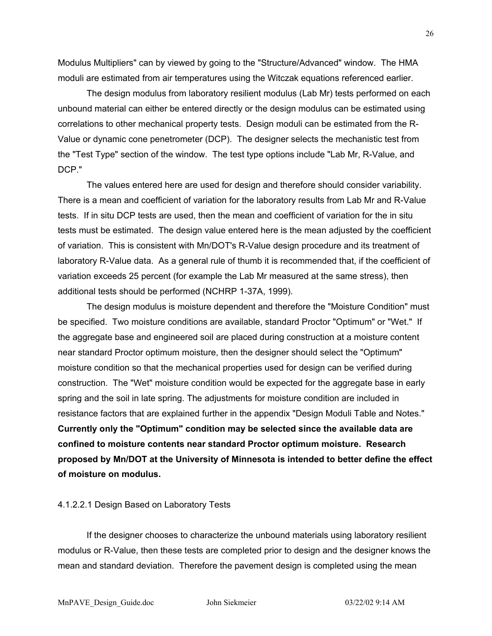Modulus Multipliers" can by viewed by going to the "Structure/Advanced" window. The HMA moduli are estimated from air temperatures using the Witczak equations referenced earlier.

The design modulus from laboratory resilient modulus (Lab Mr) tests performed on each unbound material can either be entered directly or the design modulus can be estimated using correlations to other mechanical property tests. Design moduli can be estimated from the R-Value or dynamic cone penetrometer (DCP). The designer selects the mechanistic test from the "Test Type" section of the window. The test type options include "Lab Mr, R-Value, and DCP."

The values entered here are used for design and therefore should consider variability. There is a mean and coefficient of variation for the laboratory results from Lab Mr and R-Value tests. If in situ DCP tests are used, then the mean and coefficient of variation for the in situ tests must be estimated. The design value entered here is the mean adjusted by the coefficient of variation. This is consistent with Mn/DOT's R-Value design procedure and its treatment of laboratory R-Value data. As a general rule of thumb it is recommended that, if the coefficient of variation exceeds 25 percent (for example the Lab Mr measured at the same stress), then additional tests should be performed (NCHRP 1-37A, 1999).

The design modulus is moisture dependent and therefore the "Moisture Condition" must be specified. Two moisture conditions are available, standard Proctor "Optimum" or "Wet." If the aggregate base and engineered soil are placed during construction at a moisture content near standard Proctor optimum moisture, then the designer should select the "Optimum" moisture condition so that the mechanical properties used for design can be verified during construction. The "Wet" moisture condition would be expected for the aggregate base in early spring and the soil in late spring. The adjustments for moisture condition are included in resistance factors that are explained further in the appendix "Design Moduli Table and Notes." **Currently only the "Optimum" condition may be selected since the available data are confined to moisture contents near standard Proctor optimum moisture. Research proposed by Mn/DOT at the University of Minnesota is intended to better define the effect of moisture on modulus.**

#### 4.1.2.2.1 Design Based on Laboratory Tests

If the designer chooses to characterize the unbound materials using laboratory resilient modulus or R-Value, then these tests are completed prior to design and the designer knows the mean and standard deviation. Therefore the pavement design is completed using the mean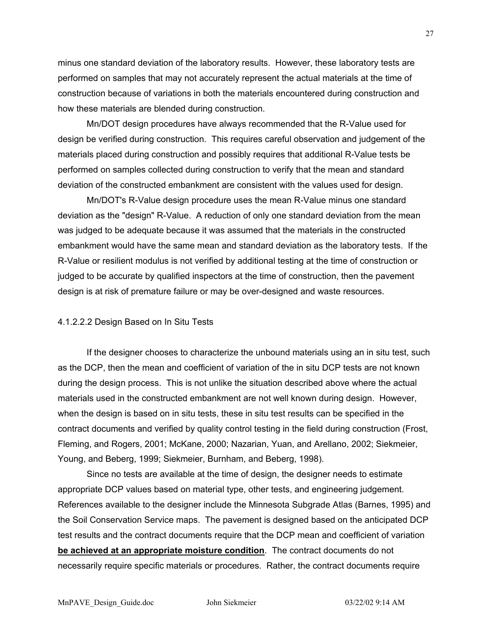minus one standard deviation of the laboratory results. However, these laboratory tests are performed on samples that may not accurately represent the actual materials at the time of construction because of variations in both the materials encountered during construction and how these materials are blended during construction.

Mn/DOT design procedures have always recommended that the R-Value used for design be verified during construction. This requires careful observation and judgement of the materials placed during construction and possibly requires that additional R-Value tests be performed on samples collected during construction to verify that the mean and standard deviation of the constructed embankment are consistent with the values used for design.

Mn/DOT's R-Value design procedure uses the mean R-Value minus one standard deviation as the "design" R-Value. A reduction of only one standard deviation from the mean was judged to be adequate because it was assumed that the materials in the constructed embankment would have the same mean and standard deviation as the laboratory tests. If the R-Value or resilient modulus is not verified by additional testing at the time of construction or judged to be accurate by qualified inspectors at the time of construction, then the pavement design is at risk of premature failure or may be over-designed and waste resources.

#### 4.1.2.2.2 Design Based on In Situ Tests

If the designer chooses to characterize the unbound materials using an in situ test, such as the DCP, then the mean and coefficient of variation of the in situ DCP tests are not known during the design process. This is not unlike the situation described above where the actual materials used in the constructed embankment are not well known during design. However, when the design is based on in situ tests, these in situ test results can be specified in the contract documents and verified by quality control testing in the field during construction (Frost, Fleming, and Rogers, 2001; McKane, 2000; Nazarian, Yuan, and Arellano, 2002; Siekmeier, Young, and Beberg, 1999; Siekmeier, Burnham, and Beberg, 1998).

Since no tests are available at the time of design, the designer needs to estimate appropriate DCP values based on material type, other tests, and engineering judgement. References available to the designer include the Minnesota Subgrade Atlas (Barnes, 1995) and the Soil Conservation Service maps. The pavement is designed based on the anticipated DCP test results and the contract documents require that the DCP mean and coefficient of variation **be achieved at an appropriate moisture condition**. The contract documents do not necessarily require specific materials or procedures. Rather, the contract documents require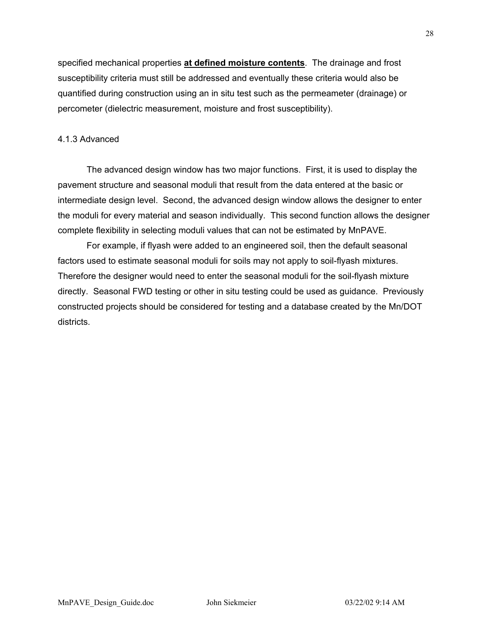specified mechanical properties **at defined moisture contents**. The drainage and frost susceptibility criteria must still be addressed and eventually these criteria would also be quantified during construction using an in situ test such as the permeameter (drainage) or percometer (dielectric measurement, moisture and frost susceptibility).

### 4.1.3 Advanced

The advanced design window has two major functions. First, it is used to display the pavement structure and seasonal moduli that result from the data entered at the basic or intermediate design level. Second, the advanced design window allows the designer to enter the moduli for every material and season individually. This second function allows the designer complete flexibility in selecting moduli values that can not be estimated by MnPAVE.

For example, if flyash were added to an engineered soil, then the default seasonal factors used to estimate seasonal moduli for soils may not apply to soil-flyash mixtures. Therefore the designer would need to enter the seasonal moduli for the soil-flyash mixture directly. Seasonal FWD testing or other in situ testing could be used as guidance. Previously constructed projects should be considered for testing and a database created by the Mn/DOT districts.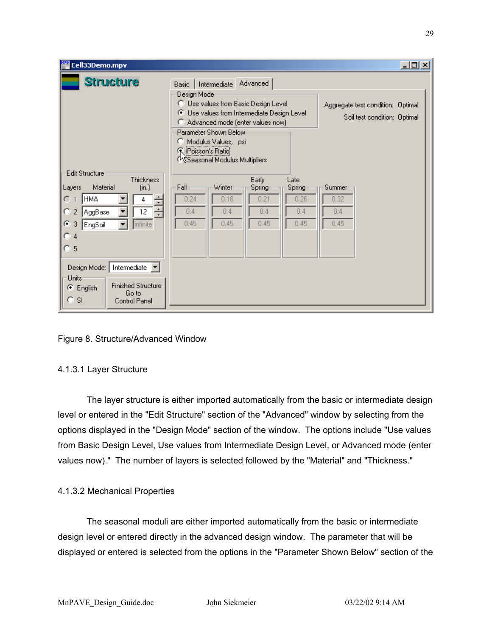| Cell33Demo.mpv                                                                                                                                                                                                                                                                                                                                                |                                                                                                                                                                                                                                                                                                      | 그미지                                                               |
|---------------------------------------------------------------------------------------------------------------------------------------------------------------------------------------------------------------------------------------------------------------------------------------------------------------------------------------------------------------|------------------------------------------------------------------------------------------------------------------------------------------------------------------------------------------------------------------------------------------------------------------------------------------------------|-------------------------------------------------------------------|
| <b>Structure</b>                                                                                                                                                                                                                                                                                                                                              | Advanced<br>Intermediate<br>Basic<br>Design Moder<br>Use values from Basic Design Level<br>ю<br>G<br>Use values from Intermediate Design Level<br>Advanced mode (enter values now)<br>o<br>Parameter Shown Below:<br>Modulus Values, psi<br>с<br>( Poisson's Ratio<br>MSSeasonal Modulus Multipliers | Aggregate test condition: Optimal<br>Soil test condition: Optimal |
| <b>Edit Structure</b><br>Thickness<br>Material<br>[in.]<br>Layers<br><b>HMA</b><br>÷<br>C<br>4<br>12<br>Ю<br>$\overline{2}$<br>AggBase<br>G.<br>infinite<br>3<br>EngSoil<br>4<br>O<br>5<br>Intermediate $\boxed{\blacktriangledown}$<br>Design Mode:  <br>Units<br><b>Finished Structure</b><br>G.<br>English<br>Go to<br>о<br><sup>SI</sup><br>Control Panel | Early<br>Late<br>Winter<br>Fall-<br>Spring<br>Spring<br>0.24<br>0.18<br>0.21<br>0.26<br>0.4<br>0.4<br>0.4<br>0.4<br>0.45<br>0.45<br>0.45<br>0.45                                                                                                                                                     | Summer<br>0.32<br>0.4<br>0.45                                     |

Figure 8. Structure/Advanced Window

# 4.1.3.1 Layer Structure

The layer structure is either imported automatically from the basic or intermediate design level or entered in the "Edit Structure" section of the "Advanced" window by selecting from the options displayed in the "Design Mode" section of the window. The options include "Use values from Basic Design Level, Use values from Intermediate Design Level, or Advanced mode (enter values now)." The number of layers is selected followed by the "Material" and "Thickness."

# 4.1.3.2 Mechanical Properties

The seasonal moduli are either imported automatically from the basic or intermediate design level or entered directly in the advanced design window. The parameter that will be displayed or entered is selected from the options in the "Parameter Shown Below" section of the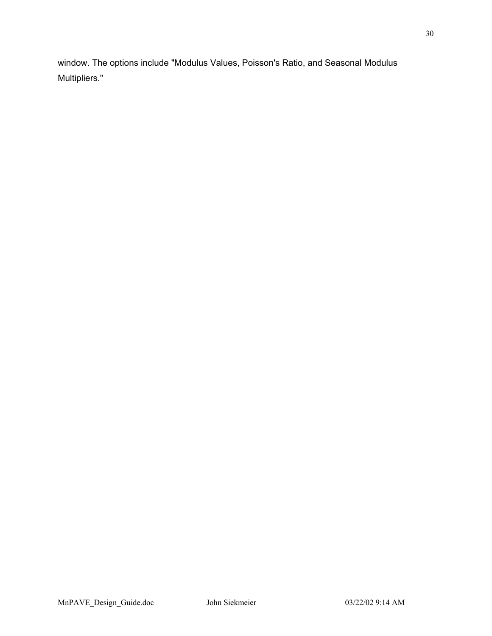window. The options include "Modulus Values, Poisson's Ratio, and Seasonal Modulus Multipliers."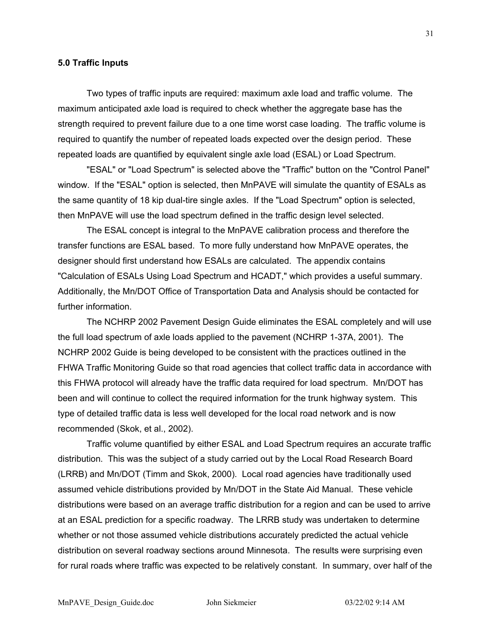#### **5.0 Traffic Inputs**

Two types of traffic inputs are required: maximum axle load and traffic volume. The maximum anticipated axle load is required to check whether the aggregate base has the strength required to prevent failure due to a one time worst case loading. The traffic volume is required to quantify the number of repeated loads expected over the design period. These repeated loads are quantified by equivalent single axle load (ESAL) or Load Spectrum.

"ESAL" or "Load Spectrum" is selected above the "Traffic" button on the "Control Panel" window. If the "ESAL" option is selected, then MnPAVE will simulate the quantity of ESALs as the same quantity of 18 kip dual-tire single axles. If the "Load Spectrum" option is selected, then MnPAVE will use the load spectrum defined in the traffic design level selected.

The ESAL concept is integral to the MnPAVE calibration process and therefore the transfer functions are ESAL based. To more fully understand how MnPAVE operates, the designer should first understand how ESALs are calculated. The appendix contains "Calculation of ESALs Using Load Spectrum and HCADT," which provides a useful summary. Additionally, the Mn/DOT Office of Transportation Data and Analysis should be contacted for further information.

The NCHRP 2002 Pavement Design Guide eliminates the ESAL completely and will use the full load spectrum of axle loads applied to the pavement (NCHRP 1-37A, 2001). The NCHRP 2002 Guide is being developed to be consistent with the practices outlined in the FHWA Traffic Monitoring Guide so that road agencies that collect traffic data in accordance with this FHWA protocol will already have the traffic data required for load spectrum. Mn/DOT has been and will continue to collect the required information for the trunk highway system. This type of detailed traffic data is less well developed for the local road network and is now recommended (Skok, et al., 2002).

Traffic volume quantified by either ESAL and Load Spectrum requires an accurate traffic distribution. This was the subject of a study carried out by the Local Road Research Board (LRRB) and Mn/DOT (Timm and Skok, 2000). Local road agencies have traditionally used assumed vehicle distributions provided by Mn/DOT in the State Aid Manual. These vehicle distributions were based on an average traffic distribution for a region and can be used to arrive at an ESAL prediction for a specific roadway. The LRRB study was undertaken to determine whether or not those assumed vehicle distributions accurately predicted the actual vehicle distribution on several roadway sections around Minnesota. The results were surprising even for rural roads where traffic was expected to be relatively constant. In summary, over half of the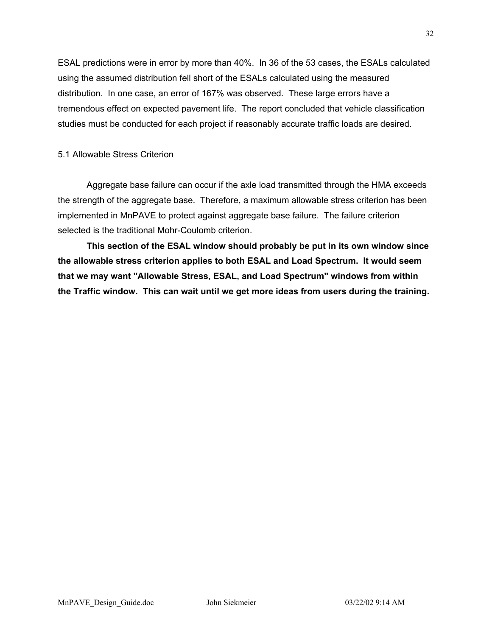ESAL predictions were in error by more than 40%. In 36 of the 53 cases, the ESALs calculated using the assumed distribution fell short of the ESALs calculated using the measured distribution. In one case, an error of 167% was observed. These large errors have a tremendous effect on expected pavement life. The report concluded that vehicle classification studies must be conducted for each project if reasonably accurate traffic loads are desired.

### 5.1 Allowable Stress Criterion

Aggregate base failure can occur if the axle load transmitted through the HMA exceeds the strength of the aggregate base. Therefore, a maximum allowable stress criterion has been implemented in MnPAVE to protect against aggregate base failure. The failure criterion selected is the traditional Mohr-Coulomb criterion.

**This section of the ESAL window should probably be put in its own window since the allowable stress criterion applies to both ESAL and Load Spectrum. It would seem that we may want "Allowable Stress, ESAL, and Load Spectrum" windows from within the Traffic window. This can wait until we get more ideas from users during the training.**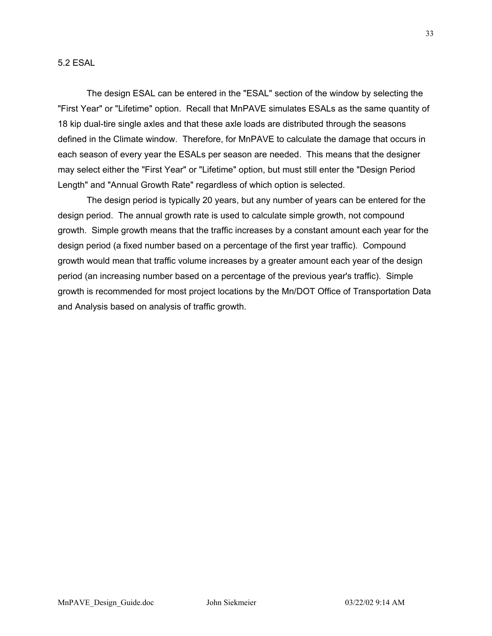The design ESAL can be entered in the "ESAL" section of the window by selecting the "First Year" or "Lifetime" option. Recall that MnPAVE simulates ESALs as the same quantity of 18 kip dual-tire single axles and that these axle loads are distributed through the seasons defined in the Climate window. Therefore, for MnPAVE to calculate the damage that occurs in each season of every year the ESALs per season are needed. This means that the designer may select either the "First Year" or "Lifetime" option, but must still enter the "Design Period Length" and "Annual Growth Rate" regardless of which option is selected.

The design period is typically 20 years, but any number of years can be entered for the design period. The annual growth rate is used to calculate simple growth, not compound growth. Simple growth means that the traffic increases by a constant amount each year for the design period (a fixed number based on a percentage of the first year traffic). Compound growth would mean that traffic volume increases by a greater amount each year of the design period (an increasing number based on a percentage of the previous year's traffic). Simple growth is recommended for most project locations by the Mn/DOT Office of Transportation Data and Analysis based on analysis of traffic growth.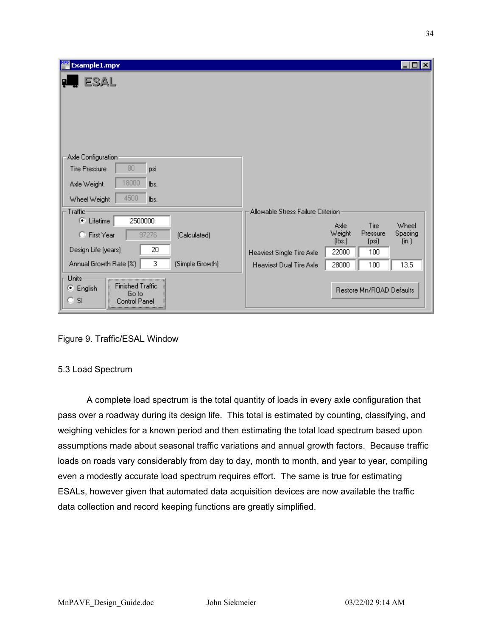| Example1.mpv                                                                                         | Ι×<br>□                                                                                                        |
|------------------------------------------------------------------------------------------------------|----------------------------------------------------------------------------------------------------------------|
| ESAL                                                                                                 |                                                                                                                |
| Axle Configuration<br>80<br><b>Tire Pressure</b><br>psi                                              |                                                                                                                |
| 18000<br>lbs.<br>Axle Weight                                                                         |                                                                                                                |
| 4500<br>Wheel Weight<br>lbs.                                                                         |                                                                                                                |
| Traffic                                                                                              | Allowable Stress Failure Criterion                                                                             |
| 2500000<br>O.<br>Lifetime<br>97276<br>C First Year<br>(Calculated)                                   | Tire<br>Wheel<br>Axle<br>Weight<br>Pressure<br>Spacing<br>[ <b>lb</b> ] <sub>3</sub> ]<br>(psi)<br>$[$ in. $]$ |
| 20<br>Design Life (years)                                                                            | 22000<br>100<br>Heaviest Single Tire Axle                                                                      |
| 3<br>Annual Growth Rate (%)<br>(Simple Growth)                                                       | 28000<br>100<br>13.5<br><b>Heaviest Dual Tire Axle</b>                                                         |
| Units<br><br><b>Finished Traffic</b><br>⊙ English<br>Go to<br><b>SI</b><br>а<br><b>Control Panel</b> | Restore Mn/ROAD Defaults                                                                                       |

Figure 9. Traffic/ESAL Window

# 5.3 Load Spectrum

A complete load spectrum is the total quantity of loads in every axle configuration that pass over a roadway during its design life. This total is estimated by counting, classifying, and weighing vehicles for a known period and then estimating the total load spectrum based upon assumptions made about seasonal traffic variations and annual growth factors. Because traffic loads on roads vary considerably from day to day, month to month, and year to year, compiling even a modestly accurate load spectrum requires effort. The same is true for estimating ESALs, however given that automated data acquisition devices are now available the traffic data collection and record keeping functions are greatly simplified.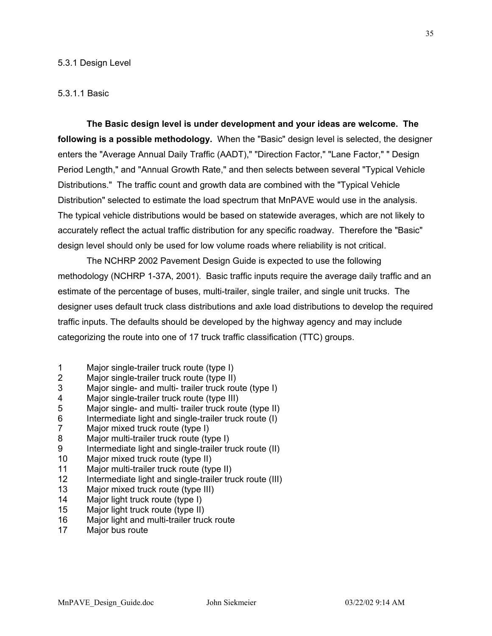#### 5.3.1 Design Level

#### 5.3.1.1 Basic

**The Basic design level is under development and your ideas are welcome. The following is a possible methodology.** When the "Basic" design level is selected, the designer enters the "Average Annual Daily Traffic (AADT)," "Direction Factor," "Lane Factor," " Design Period Length," and "Annual Growth Rate," and then selects between several "Typical Vehicle Distributions." The traffic count and growth data are combined with the "Typical Vehicle Distribution" selected to estimate the load spectrum that MnPAVE would use in the analysis. The typical vehicle distributions would be based on statewide averages, which are not likely to accurately reflect the actual traffic distribution for any specific roadway. Therefore the "Basic" design level should only be used for low volume roads where reliability is not critical.

The NCHRP 2002 Pavement Design Guide is expected to use the following methodology (NCHRP 1-37A, 2001). Basic traffic inputs require the average daily traffic and an estimate of the percentage of buses, multi-trailer, single trailer, and single unit trucks. The designer uses default truck class distributions and axle load distributions to develop the required traffic inputs. The defaults should be developed by the highway agency and may include categorizing the route into one of 17 truck traffic classification (TTC) groups.

- 1 Major single-trailer truck route (type I)
- 2 Major single-trailer truck route (type II)
- 3 Major single- and multi- trailer truck route (type I)
- 4 Major single-trailer truck route (type III)
- 5 Major single- and multi- trailer truck route (type II)
- 6 Intermediate light and single-trailer truck route (I)
- 7 Major mixed truck route (type I)
- 8 Major multi-trailer truck route (type I)
- 9 Intermediate light and single-trailer truck route (II)
- 10 Major mixed truck route (type II)
- 11 Major multi-trailer truck route (type II)
- 12 Intermediate light and single-trailer truck route (III)
- 13 Major mixed truck route (type III)
- 14 Major light truck route (type I)
- 15 Major light truck route (type II)
- 16 Major light and multi-trailer truck route
- 17 Major bus route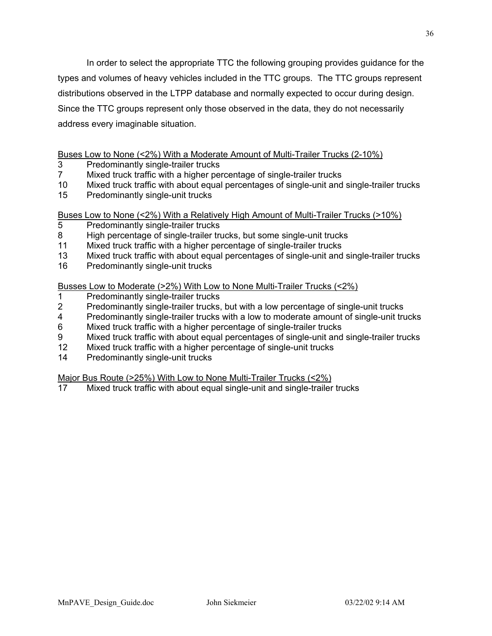In order to select the appropriate TTC the following grouping provides guidance for the types and volumes of heavy vehicles included in the TTC groups. The TTC groups represent distributions observed in the LTPP database and normally expected to occur during design. Since the TTC groups represent only those observed in the data, they do not necessarily address every imaginable situation.

### Buses Low to None (<2%) With a Moderate Amount of Multi-Trailer Trucks (2-10%)

- 3 Predominantly single-trailer trucks
- 7 Mixed truck traffic with a higher percentage of single-trailer trucks
- 10 Mixed truck traffic with about equal percentages of single-unit and single-trailer trucks
- 15 Predominantly single-unit trucks

Buses Low to None (<2%) With a Relatively High Amount of Multi-Trailer Trucks (>10%)

- 5 Predominantly single-trailer trucks
- 8 High percentage of single-trailer trucks, but some single-unit trucks<br>11 Mixed truck traffic with a higher percentage of single-trailer trucks
- Mixed truck traffic with a higher percentage of single-trailer trucks
- 13 Mixed truck traffic with about equal percentages of single-unit and single-trailer trucks
- 16 Predominantly single-unit trucks

Busses Low to Moderate (>2%) With Low to None Multi-Trailer Trucks (<2%)

- 1 Predominantly single-trailer trucks
- 2 Predominantly single-trailer trucks, but with a low percentage of single-unit trucks
- 4 Predominantly single-trailer trucks with a low to moderate amount of single-unit trucks
- 6 Mixed truck traffic with a higher percentage of single-trailer trucks
- 9 Mixed truck traffic with about equal percentages of single-unit and single-trailer trucks
- 12 Mixed truck traffic with a higher percentage of single-unit trucks
- 14 Predominantly single-unit trucks

Major Bus Route (>25%) With Low to None Multi-Trailer Trucks (<2%)

17 Mixed truck traffic with about equal single-unit and single-trailer trucks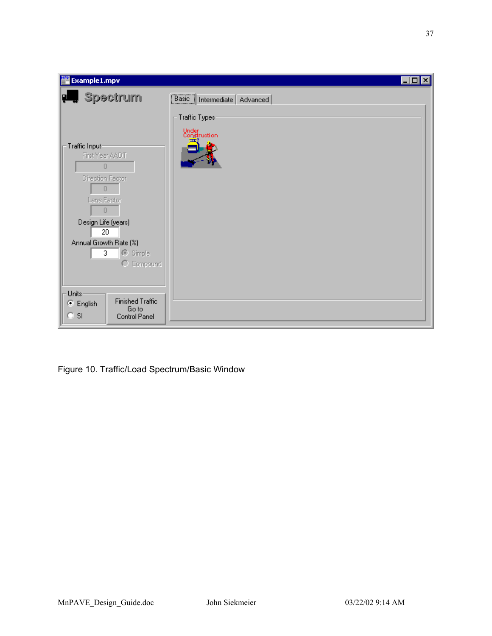| <b>Example1.mpv</b>                                                                                                     |                                        | $\vert x \vert$<br>ا کر ہے ا |
|-------------------------------------------------------------------------------------------------------------------------|----------------------------------------|------------------------------|
| , Spectrum<br>Ţ.                                                                                                        | <b>Basic</b>   Intermediate   Advanced |                              |
|                                                                                                                         | Traffic Types:                         |                              |
| Traffic Input-<br>First Year AADT<br>0<br>Direction Factor<br>$\overline{0}$<br>Lane Factor<br>0<br>Design Life (years) | Under<br>Construction<br>ш             |                              |
| 20 <sub>2</sub><br>Annual Growth Rate (%)                                                                               |                                        |                              |
| C Simple<br>3<br>C Compound                                                                                             |                                        |                              |
| Units-<br><b>Finished Traffic</b><br>● English<br>Go to<br>$\circ$ si<br>Control Panel                                  |                                        |                              |

Figure 10. Traffic/Load Spectrum/Basic Window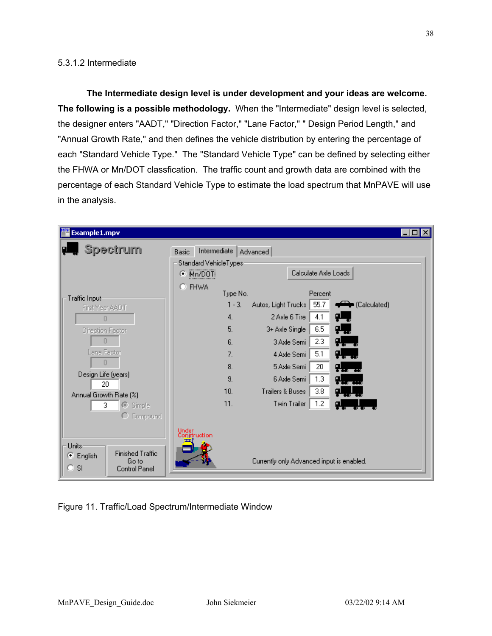# 5.3.1.2 Intermediate

**The Intermediate design level is under development and your ideas are welcome. The following is a possible methodology.** When the "Intermediate" design level is selected, the designer enters "AADT," "Direction Factor," "Lane Factor," " Design Period Length," and "Annual Growth Rate," and then defines the vehicle distribution by entering the percentage of each "Standard Vehicle Type." The "Standard Vehicle Type" can be defined by selecting either the FHWA or Mn/DOT classfication. The traffic count and growth data are combined with the percentage of each Standard Vehicle Type to estimate the load spectrum that MnPAVE will use in the analysis.

|                                                         | $\blacksquare$ $\Box$ $\times$                                                                                                                                                          |
|---------------------------------------------------------|-----------------------------------------------------------------------------------------------------------------------------------------------------------------------------------------|
| Intermediate<br>Basic<br>Advanced                       |                                                                                                                                                                                         |
|                                                         |                                                                                                                                                                                         |
| Calculate Axle Loads<br>о                               |                                                                                                                                                                                         |
|                                                         |                                                                                                                                                                                         |
| Percent                                                 |                                                                                                                                                                                         |
| 55.7<br>$1 - 3$ .<br>Calculated)<br>Autos, Light Trucks |                                                                                                                                                                                         |
| 4.1<br>φ<br>4.<br>2 Axle 6 Tire                         |                                                                                                                                                                                         |
| 5.<br>6.5<br>일<br>3+ Axle Single                        |                                                                                                                                                                                         |
| 9.<br>2.3<br>6.<br>3 Axle Semi                          |                                                                                                                                                                                         |
| 5.1<br>일.<br>7.<br>4 Axle Semi                          |                                                                                                                                                                                         |
| 20<br>8.<br>5 Axle Semi                                 |                                                                                                                                                                                         |
| 9.<br>6 Axle Semi                                       |                                                                                                                                                                                         |
| 10.<br><b>Trailers &amp; Buses</b>                      |                                                                                                                                                                                         |
|                                                         |                                                                                                                                                                                         |
|                                                         |                                                                                                                                                                                         |
|                                                         |                                                                                                                                                                                         |
|                                                         |                                                                                                                                                                                         |
|                                                         |                                                                                                                                                                                         |
|                                                         |                                                                                                                                                                                         |
|                                                         |                                                                                                                                                                                         |
|                                                         | Standard VehicleTypes-<br>Mn/DOT<br><b>FHWA</b><br>Type No.<br>9., .,<br>1.3<br>3.8<br>11.<br>1.2<br>Twin Trailer<br>Under<br>Construction<br>Currently only Advanced input is enabled. |

Figure 11. Traffic/Load Spectrum/Intermediate Window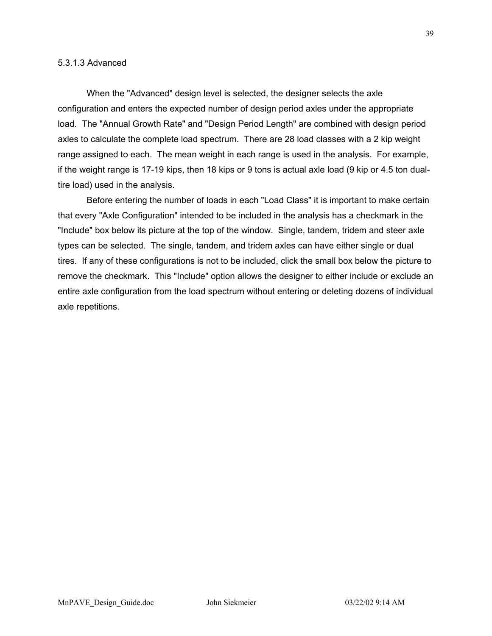When the "Advanced" design level is selected, the designer selects the axle configuration and enters the expected number of design period axles under the appropriate load. The "Annual Growth Rate" and "Design Period Length" are combined with design period axles to calculate the complete load spectrum. There are 28 load classes with a 2 kip weight range assigned to each. The mean weight in each range is used in the analysis. For example, if the weight range is 17-19 kips, then 18 kips or 9 tons is actual axle load (9 kip or 4.5 ton dualtire load) used in the analysis.

Before entering the number of loads in each "Load Class" it is important to make certain that every "Axle Configuration" intended to be included in the analysis has a checkmark in the "Include" box below its picture at the top of the window. Single, tandem, tridem and steer axle types can be selected. The single, tandem, and tridem axles can have either single or dual tires. If any of these configurations is not to be included, click the small box below the picture to remove the checkmark. This "Include" option allows the designer to either include or exclude an entire axle configuration from the load spectrum without entering or deleting dozens of individual axle repetitions.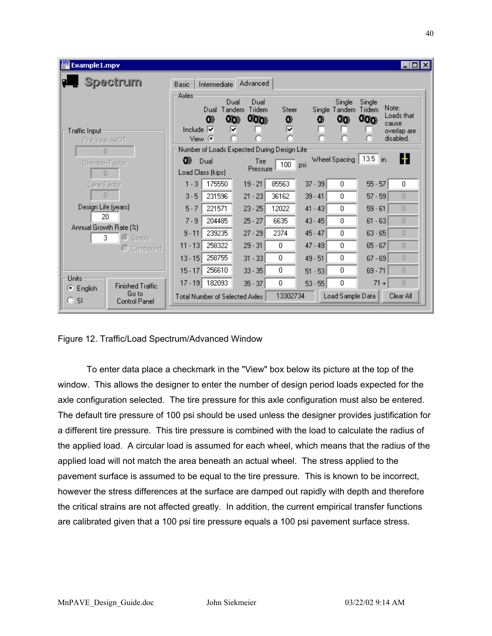| Example1.mpv                                            | ∣⊡l ×                                                                                                                                                                                |
|---------------------------------------------------------|--------------------------------------------------------------------------------------------------------------------------------------------------------------------------------------|
| Spectrum                                                | Advanced<br>Basic<br>Intermediate                                                                                                                                                    |
|                                                         | Axles<br>Single<br>Dual<br>Dual<br>Single<br>Note:<br>Tandem<br>Tridem<br>Tridem<br>Steer<br>Single Tandem<br>Dual<br>Loads that<br>000<br>000<br>OO)<br>0)<br>0<br>00<br>0<br>cause |
| Traffic Input<br>First Year AADT                        | ⊽<br>⊽<br>Include $ \nabla$<br>overlap are<br>disabled.<br>View $\mathbf \odot$                                                                                                      |
| л                                                       | Number of Loads Expected During Design Life:                                                                                                                                         |
| <b>Direction Factor</b><br>л                            | н<br>$13.5$ in.<br>Wheel Spacing<br>œ<br>Dual<br>Tire<br>$100$ psi<br>Pressure<br>Load Class (kips)                                                                                  |
| Lane Factor                                             | 175550<br>85563<br>$55 - 57$<br>$1 - 3$<br>$19 - 21$<br>$37 - 39$<br>0.<br>0                                                                                                         |
| Л                                                       | 231596<br>$3 - 5$<br>36162<br>$21 - 23$<br>$39 - 41$<br>$57 - 59$<br>0<br>n                                                                                                          |
| Design Life (years)                                     | $5 - 7$<br>221571<br>$23 - 25$<br>12022<br>$59 - 61$<br>$41 - 43$<br>0.<br>$\Box$                                                                                                    |
| 20.                                                     | 204485<br>$25 - 27$<br>6635<br>$7 - 9$<br>$43 - 45$<br>0.<br>$\Box$<br>$61 - 63$                                                                                                     |
| Annual Growth Rate [%]<br>3.<br>$\odot$ Simple          | $9 - 11$<br>239235<br>$27 - 29$<br>2374<br>$45 - 47$<br>0<br>$63 - 65$<br>0                                                                                                          |
| О<br>Compound                                           | 258322<br>$29 - 31$<br>$47 - 49$<br>$11 - 13$<br>$65 - 67$<br>$\Box$<br>0<br>0.                                                                                                      |
|                                                         | 258755<br>$\Box$<br>0<br>0<br>$49 - 51$<br>$13 - 15$<br>$31 - 33$<br>$67 - 69$                                                                                                       |
|                                                         | 256610<br>0<br>0<br>0<br>$33 - 35$<br>$15 - 17$<br>$69 - 71$<br>$51 - 53$                                                                                                            |
| Units<br><b>Finished Traffic</b><br>Θ                   | 182093<br>$17 - 19$<br>0<br>$71 +$<br>$35 - 37$<br>۵<br>$\Box$<br>$53 - 55$                                                                                                          |
| English<br>Go to<br>o<br><sup>SI</sup><br>Control Panel | 13302734<br>Load Sample Data<br>Clear All<br><b>Total Number of Selected Axles</b>                                                                                                   |

Figure 12. Traffic/Load Spectrum/Advanced Window

To enter data place a checkmark in the "View" box below its picture at the top of the window. This allows the designer to enter the number of design period loads expected for the axle configuration selected. The tire pressure for this axle configuration must also be entered. The default tire pressure of 100 psi should be used unless the designer provides justification for a different tire pressure. This tire pressure is combined with the load to calculate the radius of the applied load. A circular load is assumed for each wheel, which means that the radius of the applied load will not match the area beneath an actual wheel. The stress applied to the pavement surface is assumed to be equal to the tire pressure. This is known to be incorrect, however the stress differences at the surface are damped out rapidly with depth and therefore the critical strains are not affected greatly. In addition, the current empirical transfer functions are calibrated given that a 100 psi tire pressure equals a 100 psi pavement surface stress.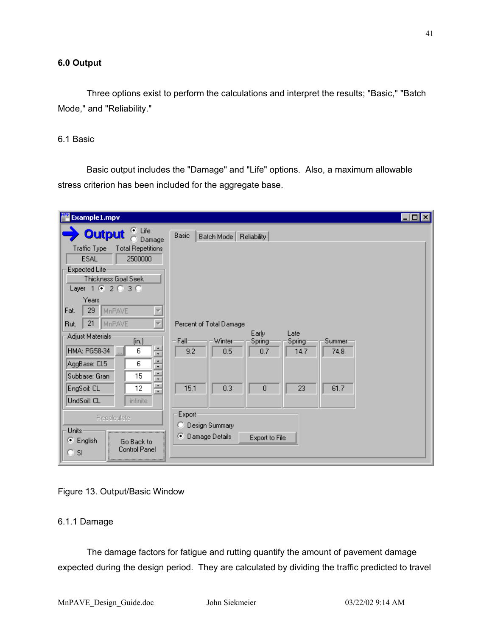Three options exist to perform the calculations and interpret the results; "Basic," "Batch Mode," and "Reliability."

# 6.1 Basic

Basic output includes the "Damage" and "Life" options. Also, a maximum allowable stress criterion has been included for the aggregate base.

| <b>Example1.mpv</b>                                                                                                                                                                                                                                               |                                                                                                                                                                   | $\Box$ o $\bm{x}$ |
|-------------------------------------------------------------------------------------------------------------------------------------------------------------------------------------------------------------------------------------------------------------------|-------------------------------------------------------------------------------------------------------------------------------------------------------------------|-------------------|
| ⊕ Life<br><b>Output</b><br>Damage<br><b>Traffic Type</b><br><b>Total Repetitions</b><br><b>ESAL</b><br>2500000<br>Expected Life<br>Thickness Goal Seek<br>Layer 1 @ 2 @ 3 @<br>Years                                                                              | Basic<br>Batch Mode<br>Reliability                                                                                                                                |                   |
| 29<br>MnPAVE<br>Fat.<br>$\overline{\nabla}$<br>21<br>MnPAVE<br>Rut.<br>Adjust Materials<br>(in.)<br>÷<br>HMA: PG58-34<br>6<br>$\overline{\phantom{a}}$<br>٠<br>AggBase: Cl.5<br>6<br>۰<br>٠<br>Subbase: Gran<br>15<br>$\mathbf{r}$<br>٠<br>EngSoil: CL<br>12<br>╤ | Percent of Total Damage<br>Early<br>Late<br>Fall-<br>Winter<br>Spring<br>Summer<br>Spring-<br>9.2<br>0.5<br>0.7<br>14.7<br>74.8<br>15.1<br>0.3<br>0<br>23<br>61.7 |                   |
| UndSoil: CL<br><i>infinite</i><br>Recalculate<br>Units<br>⊙ English<br>Go Back to<br>Control Panel<br>O SI                                                                                                                                                        | Export-<br>Design Summary<br>Damage Details<br>œ.<br>Export to File                                                                                               |                   |

# Figure 13. Output/Basic Window

# 6.1.1 Damage

The damage factors for fatigue and rutting quantify the amount of pavement damage expected during the design period. They are calculated by dividing the traffic predicted to travel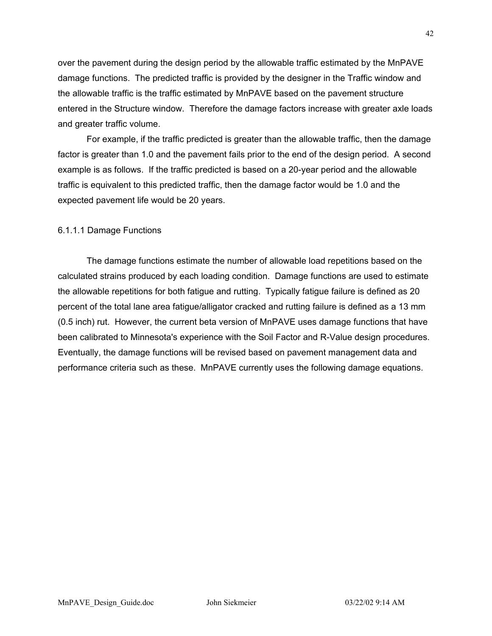over the pavement during the design period by the allowable traffic estimated by the MnPAVE damage functions. The predicted traffic is provided by the designer in the Traffic window and the allowable traffic is the traffic estimated by MnPAVE based on the pavement structure entered in the Structure window. Therefore the damage factors increase with greater axle loads and greater traffic volume.

For example, if the traffic predicted is greater than the allowable traffic, then the damage factor is greater than 1.0 and the pavement fails prior to the end of the design period. A second example is as follows. If the traffic predicted is based on a 20-year period and the allowable traffic is equivalent to this predicted traffic, then the damage factor would be 1.0 and the expected pavement life would be 20 years.

# 6.1.1.1 Damage Functions

The damage functions estimate the number of allowable load repetitions based on the calculated strains produced by each loading condition. Damage functions are used to estimate the allowable repetitions for both fatigue and rutting. Typically fatigue failure is defined as 20 percent of the total lane area fatigue/alligator cracked and rutting failure is defined as a 13 mm (0.5 inch) rut. However, the current beta version of MnPAVE uses damage functions that have been calibrated to Minnesota's experience with the Soil Factor and R-Value design procedures. Eventually, the damage functions will be revised based on pavement management data and performance criteria such as these. MnPAVE currently uses the following damage equations.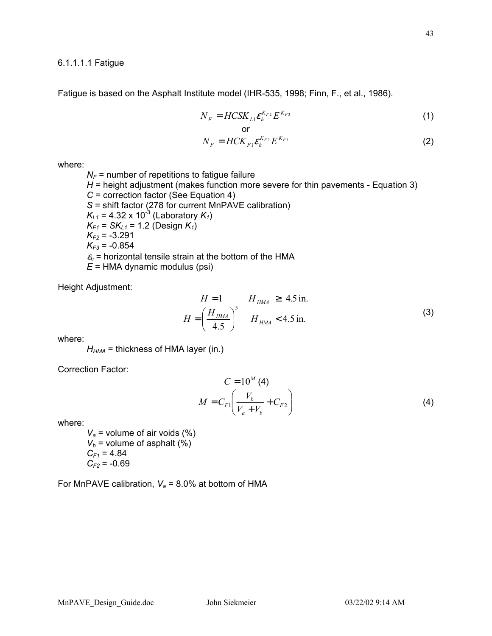### 6.1.1.1.1 Fatigue

Fatigue is based on the Asphalt Institute model (IHR-535, 1998; Finn, F., et al., 1986).

$$
N_F = HCSK_{L1} \mathcal{E}_h^{K_{F2}} E^{K_{F3}} \tag{1}
$$

$$
N_F = HCK_{F1} \mathcal{E}_h^{K_{F2}} E^{K_{F3}}
$$
 (2)

where:

 $N_F$  = number of repetitions to fatigue failure *H* = height adjustment (makes function more severe for thin pavements - Equation 3) *C* = correction factor (See Equation 4) *S* = shift factor (278 for current MnPAVE calibration)  $K_{L1}$  = 4.32 x 10<sup>-3</sup> (Laboratory  $K_1$ ) *KF1* = *SKL1* = 1.2 (Design *K1*) *KF2* = -3.291  $K_{F3}$  = -0.854  $\varepsilon_h$  = horizontal tensile strain at the bottom of the HMA *E* = HMA dynamic modulus (psi)

Height Adjustment:

$$
H = 1 \t H_{HMA} \ge 4.5 \text{ in.}
$$
  

$$
H = \left(\frac{H_{HMA}}{4.5}\right)^5 \t H_{HMA} < 4.5 \text{ in.}
$$
 (3)

where:

 $H_{HMA}$  = thickness of HMA layer (in.)

Correction Factor:

$$
C = 10^{M} (4)
$$
  

$$
M = C_{F1} \left( \frac{V_b}{V_a + V_b} + C_{F2} \right)
$$
 (4)

where:

 $V_a$  = volume of air voids (%)  $V_b$  = volume of asphalt (%)  $C_{F1} = 4.84$  $C_{F2}$  = -0.69

For MnPAVE calibration,  $V_a$  = 8.0% at bottom of HMA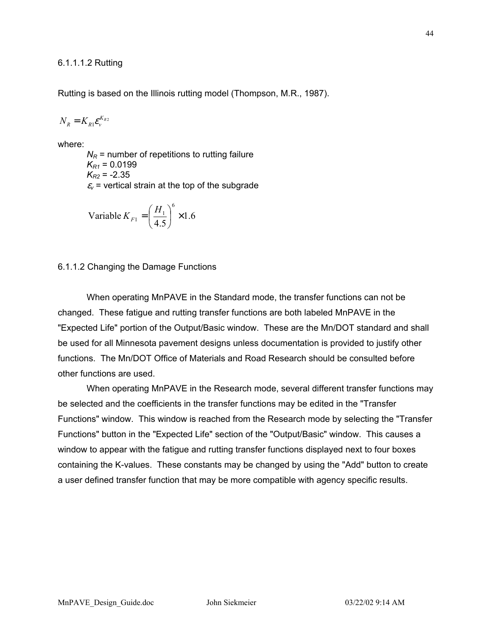Rutting is based on the Illinois rutting model (Thompson, M.R., 1987).

$$
N_{R}=K_{R1}\varepsilon_{v}^{K_{R2}}
$$

where:

 $N_R$  = number of repetitions to rutting failure  $K_{R1} = 0.0199$  $K_{R2}$  = -2.35  $\varepsilon$ <sub>v</sub> = vertical strain at the top of the subgrade

Variable 
$$
K_{F1} = \left(\frac{H_1}{4.5}\right)^6 \times 1.6
$$

# 6.1.1.2 Changing the Damage Functions

When operating MnPAVE in the Standard mode, the transfer functions can not be changed. These fatigue and rutting transfer functions are both labeled MnPAVE in the "Expected Life" portion of the Output/Basic window. These are the Mn/DOT standard and shall be used for all Minnesota pavement designs unless documentation is provided to justify other functions. The Mn/DOT Office of Materials and Road Research should be consulted before other functions are used.

When operating MnPAVE in the Research mode, several different transfer functions may be selected and the coefficients in the transfer functions may be edited in the "Transfer Functions" window. This window is reached from the Research mode by selecting the "Transfer Functions" button in the "Expected Life" section of the "Output/Basic" window. This causes a window to appear with the fatigue and rutting transfer functions displayed next to four boxes containing the K-values. These constants may be changed by using the "Add" button to create a user defined transfer function that may be more compatible with agency specific results.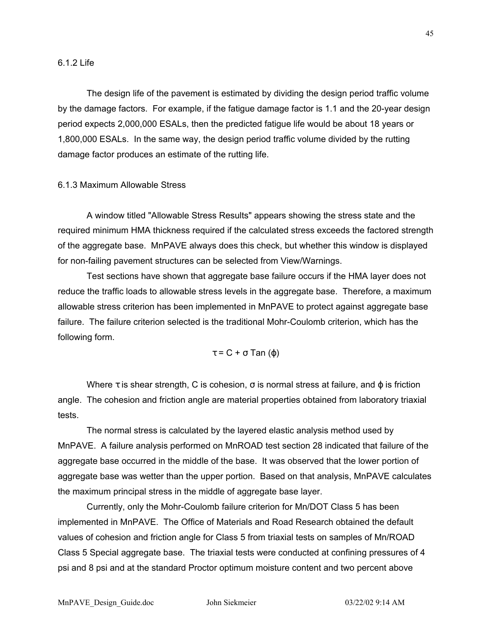### 6.1.2 Life

The design life of the pavement is estimated by dividing the design period traffic volume by the damage factors. For example, if the fatigue damage factor is 1.1 and the 20-year design period expects 2,000,000 ESALs, then the predicted fatigue life would be about 18 years or 1,800,000 ESALs. In the same way, the design period traffic volume divided by the rutting damage factor produces an estimate of the rutting life.

# 6.1.3 Maximum Allowable Stress

A window titled "Allowable Stress Results" appears showing the stress state and the required minimum HMA thickness required if the calculated stress exceeds the factored strength of the aggregate base. MnPAVE always does this check, but whether this window is displayed for non-failing pavement structures can be selected from View/Warnings.

Test sections have shown that aggregate base failure occurs if the HMA layer does not reduce the traffic loads to allowable stress levels in the aggregate base. Therefore, a maximum allowable stress criterion has been implemented in MnPAVE to protect against aggregate base failure. The failure criterion selected is the traditional Mohr-Coulomb criterion, which has the following form.

# τ = C + σ Tan (ϕ)

Where  $\tau$  is shear strength, C is cohesion,  $\sigma$  is normal stress at failure, and  $\varphi$  is friction angle. The cohesion and friction angle are material properties obtained from laboratory triaxial tests.

The normal stress is calculated by the layered elastic analysis method used by MnPAVE. A failure analysis performed on MnROAD test section 28 indicated that failure of the aggregate base occurred in the middle of the base. It was observed that the lower portion of aggregate base was wetter than the upper portion. Based on that analysis, MnPAVE calculates the maximum principal stress in the middle of aggregate base layer.

Currently, only the Mohr-Coulomb failure criterion for Mn/DOT Class 5 has been implemented in MnPAVE. The Office of Materials and Road Research obtained the default values of cohesion and friction angle for Class 5 from triaxial tests on samples of Mn/ROAD Class 5 Special aggregate base. The triaxial tests were conducted at confining pressures of 4 psi and 8 psi and at the standard Proctor optimum moisture content and two percent above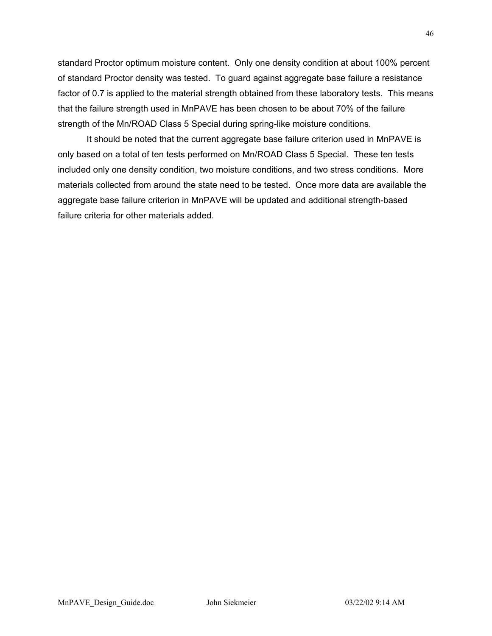standard Proctor optimum moisture content. Only one density condition at about 100% percent of standard Proctor density was tested. To guard against aggregate base failure a resistance factor of 0.7 is applied to the material strength obtained from these laboratory tests. This means that the failure strength used in MnPAVE has been chosen to be about 70% of the failure strength of the Mn/ROAD Class 5 Special during spring-like moisture conditions.

It should be noted that the current aggregate base failure criterion used in MnPAVE is only based on a total of ten tests performed on Mn/ROAD Class 5 Special. These ten tests included only one density condition, two moisture conditions, and two stress conditions. More materials collected from around the state need to be tested. Once more data are available the aggregate base failure criterion in MnPAVE will be updated and additional strength-based failure criteria for other materials added.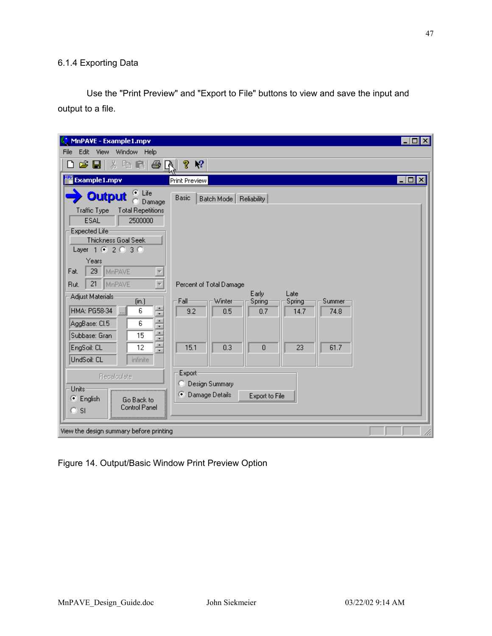# 6.1.4 Exporting Data

Use the "Print Preview" and "Export to File" buttons to view and save the input and output to a file.

| MnPAVE - Example1.mpv                                                     |                                                | $\Box$ D $\Box$       |
|---------------------------------------------------------------------------|------------------------------------------------|-----------------------|
| Edit<br>Window Help<br>File<br><b>View</b>                                |                                                |                       |
| 人生日日<br>c bi<br>ا 1<br>۱٦                                                 | P.<br>$\mathbf{P}$                             |                       |
| 翟 Example1.mpv                                                            | Print Preview                                  | $\Box$ o $\mathbf{x}$ |
| ⊕ Life<br><b>Output</b><br>Damage                                         | Basic<br>Batch Mode   Reliability              |                       |
| <b>Traffic Type</b><br><b>Total Repetitions</b><br><b>ESAL</b><br>2500000 |                                                |                       |
| Expected Life                                                             |                                                |                       |
| Thickness Goal Seek                                                       |                                                |                       |
| Layer 1 3 2 3 3 0                                                         |                                                |                       |
| Years                                                                     |                                                |                       |
| 29<br>MnPAVE<br>Fat.<br>$\overline{\phantom{a}}$                          |                                                |                       |
| 21<br>MnPAVE<br>Rut.                                                      | Percent of Total Damage<br>Early<br>Late       |                       |
| Adjust Materials<br>(in.)                                                 | Fall-<br>Winter<br>Spring<br>Spring<br>Summer- |                       |
| ÷<br>HMA: PG58-34<br>6<br>$\overline{\phantom{a}}$                        | 9.2<br>0.5<br>0.7<br>74.8<br>14.7              |                       |
| $\blacktriangle$<br>AggBase: Cl.5<br>6<br>╤                               |                                                |                       |
| $\blacktriangle$<br>Subbase: Gran<br>15<br>≂                              |                                                |                       |
| ÷<br>EngSoil: CL<br>12                                                    | 15.1<br>0.3<br>$\mathbf{0}$<br>23<br>61.7      |                       |
| UndSoil: CL<br><i>infinite</i>                                            |                                                |                       |
| Recalculate                                                               | Export                                         |                       |
| Units:                                                                    | Design Summary                                 |                       |
| C English<br>Go Back to                                                   | о<br>Damage Details<br>Export to File          |                       |
| <b>Control Panel</b><br><b>SI</b><br>O.                                   |                                                |                       |
|                                                                           |                                                |                       |
| View the design summary before printing                                   |                                                |                       |

Figure 14. Output/Basic Window Print Preview Option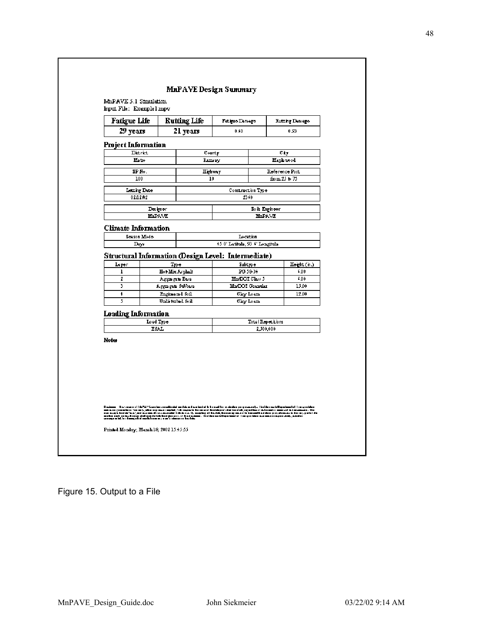

|                                                    | <b>Fatigue Life</b>       |      | <b>Rutting Life</b>                                    | Fetigue Demege                                      |                                |       | <b>Eutting Demoge</b> |
|----------------------------------------------------|---------------------------|------|--------------------------------------------------------|-----------------------------------------------------|--------------------------------|-------|-----------------------|
| 29 years                                           |                           |      | 21 years                                               | 0.60                                                |                                |       | 0.93                  |
| Project Information                                |                           |      |                                                        |                                                     |                                |       |                       |
|                                                    | District                  |      |                                                        | County                                              |                                |       | СÈТ                   |
|                                                    | Matro                     |      |                                                        | Ramsey                                              |                                |       | Maph wood             |
|                                                    | SP No.                    |      |                                                        | Highwoy                                             |                                |       | Reference Post        |
|                                                    | 100                       |      |                                                        | 10                                                  |                                |       | $from 25 * 75$        |
|                                                    | Letting Date              |      |                                                        | Construction Type                                   |                                |       |                       |
|                                                    | 02/12/02                  |      |                                                        | 2340                                                |                                |       |                       |
|                                                    |                           |      |                                                        |                                                     |                                |       |                       |
|                                                    | Designer<br><b>MnPAVE</b> |      |                                                        |                                                     | Soik Engineer<br><b>MnPAVE</b> |       |                       |
|                                                    |                           |      |                                                        |                                                     |                                |       |                       |
| <b>Climate Information</b>                         | Seeson Mode               |      |                                                        | Location                                            |                                |       |                       |
|                                                    | Days                      |      |                                                        | 45.0' Latituda, 93.6' Longituda                     |                                |       |                       |
|                                                    |                           |      |                                                        | Structural Information (Design Level: Intermediate) |                                |       |                       |
| Layer                                              |                           | Type |                                                        | Subtype                                             |                                |       | Hoght (n.)            |
| ı                                                  |                           |      | Ho+Mix Asphalt                                         |                                                     | PG 58-34                       |       | 6,00                  |
| 2                                                  |                           |      | Aggna gata Basa                                        | <b>Mn/DOI</b> Class 5                               |                                |       | 6,00                  |
|                                                    |                           |      |                                                        | Ma/DOI Grandar                                      |                                | 15.00 |                       |
|                                                    |                           |      |                                                        | Clay Loam.<br>Clay Loam.                            |                                |       | 12.00                 |
|                                                    |                           |      |                                                        |                                                     |                                |       |                       |
|                                                    |                           |      |                                                        |                                                     |                                |       |                       |
|                                                    |                           |      |                                                        |                                                     |                                |       |                       |
|                                                    |                           |      |                                                        |                                                     |                                |       |                       |
| 3<br>ŧ<br>5<br><b>Loading Information</b><br>Notes | Load Type<br><b>ESAL</b>  |      | Aggungan Subbasa<br>Engineemd Soil<br>Undisturbed Soil |                                                     | Total Repetitions<br>2,500,000 |       |                       |

Figure 15. Output to a File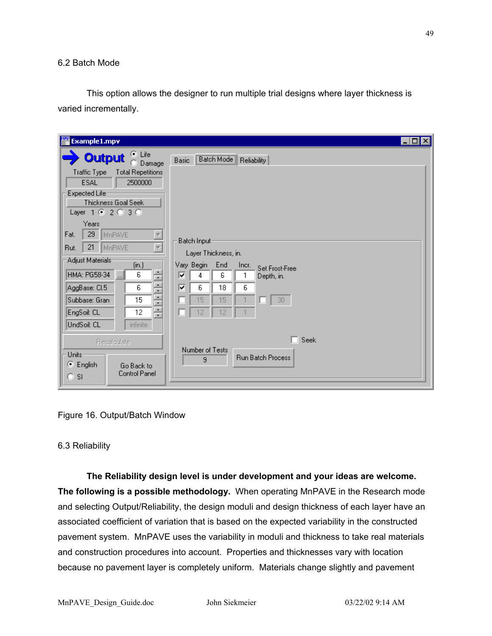# 6.2 Batch Mode

This option allows the designer to run multiple trial designs where layer thickness is varied incrementally.

| <b>Example1.mpv</b>                                                                                                                                                                                                                                                                                                                                                                                                                                                                                      |                                                                                                                                                                                                                              | $\Box$ o x |
|----------------------------------------------------------------------------------------------------------------------------------------------------------------------------------------------------------------------------------------------------------------------------------------------------------------------------------------------------------------------------------------------------------------------------------------------------------------------------------------------------------|------------------------------------------------------------------------------------------------------------------------------------------------------------------------------------------------------------------------------|------------|
| $\bullet$ Life<br><b>Output</b><br>Damage<br><b>Total Repetitions</b><br>Traffic Type<br><b>ESAL</b><br>2500000<br>Expected Life<br>Thickness Goal Seek<br>Layer 1 @ 2 @ 3 @<br>Years<br>29<br>MnPAVE<br>Fat.<br>21<br>MnPAVE<br>Rut.<br>Adjust Materials:<br>(in.)<br>$\hat{\phantom{a}}$<br>6<br>HMA: PG58-34<br>$\overline{\phantom{a}}$<br>$\mathbf{r}$<br>÷<br>6<br>AggBase: Cl.5<br>۰<br>٠<br>Subbase: Gran<br>15<br>÷<br>÷<br>EngSoil: CL<br>12<br>$\mathbf{r}$<br>UndSoil: CL<br><i>infinite</i> | [Batch Mode] Reliability<br>Basic<br>Batch Input:<br>Layer Thickness, in.<br>Vary Begin<br>End<br>Incr.<br>Set Frost-Free<br> ⊽<br>6<br>4<br>1<br>Depth, in.<br>⊽<br>6<br>18<br>6<br>15<br>30 <sub>1</sub><br>15<br>12<br>12 |            |
| Recalculate<br>Units:<br>English<br>o.<br>Go Back to<br>Control Panel<br>$\circ$ si                                                                                                                                                                                                                                                                                                                                                                                                                      | Seek<br>Number of Tests<br><b>Run Batch Process</b><br>9                                                                                                                                                                     |            |

Figure 16. Output/Batch Window

# 6.3 Reliability

**The Reliability design level is under development and your ideas are welcome. The following is a possible methodology.** When operating MnPAVE in the Research mode and selecting Output/Reliability, the design moduli and design thickness of each layer have an associated coefficient of variation that is based on the expected variability in the constructed pavement system. MnPAVE uses the variability in moduli and thickness to take real materials and construction procedures into account. Properties and thicknesses vary with location because no pavement layer is completely uniform. Materials change slightly and pavement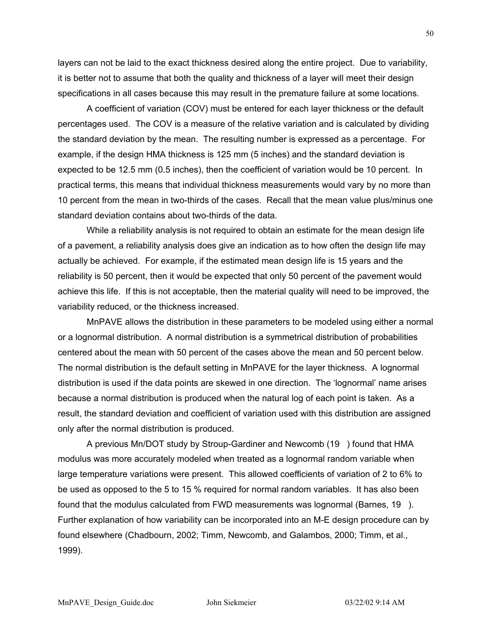layers can not be laid to the exact thickness desired along the entire project. Due to variability, it is better not to assume that both the quality and thickness of a layer will meet their design specifications in all cases because this may result in the premature failure at some locations.

A coefficient of variation (COV) must be entered for each layer thickness or the default percentages used. The COV is a measure of the relative variation and is calculated by dividing the standard deviation by the mean. The resulting number is expressed as a percentage. For example, if the design HMA thickness is 125 mm (5 inches) and the standard deviation is expected to be 12.5 mm (0.5 inches), then the coefficient of variation would be 10 percent. In practical terms, this means that individual thickness measurements would vary by no more than 10 percent from the mean in two-thirds of the cases. Recall that the mean value plus/minus one standard deviation contains about two-thirds of the data.

While a reliability analysis is not required to obtain an estimate for the mean design life of a pavement, a reliability analysis does give an indication as to how often the design life may actually be achieved. For example, if the estimated mean design life is 15 years and the reliability is 50 percent, then it would be expected that only 50 percent of the pavement would achieve this life. If this is not acceptable, then the material quality will need to be improved, the variability reduced, or the thickness increased.

MnPAVE allows the distribution in these parameters to be modeled using either a normal or a lognormal distribution. A normal distribution is a symmetrical distribution of probabilities centered about the mean with 50 percent of the cases above the mean and 50 percent below. The normal distribution is the default setting in MnPAVE for the layer thickness. A lognormal distribution is used if the data points are skewed in one direction. The 'lognormal' name arises because a normal distribution is produced when the natural log of each point is taken. As a result, the standard deviation and coefficient of variation used with this distribution are assigned only after the normal distribution is produced.

A previous Mn/DOT study by Stroup-Gardiner and Newcomb (19 ) found that HMA modulus was more accurately modeled when treated as a lognormal random variable when large temperature variations were present. This allowed coefficients of variation of 2 to 6% to be used as opposed to the 5 to 15 % required for normal random variables. It has also been found that the modulus calculated from FWD measurements was lognormal (Barnes, 19 ). Further explanation of how variability can be incorporated into an M-E design procedure can by found elsewhere (Chadbourn, 2002; Timm, Newcomb, and Galambos, 2000; Timm, et al., 1999).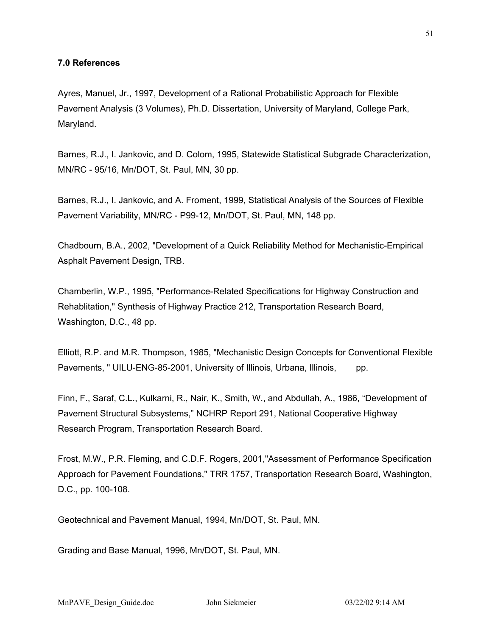# **7.0 References**

Ayres, Manuel, Jr., 1997, Development of a Rational Probabilistic Approach for Flexible Pavement Analysis (3 Volumes), Ph.D. Dissertation, University of Maryland, College Park, Maryland.

Barnes, R.J., I. Jankovic, and D. Colom, 1995, Statewide Statistical Subgrade Characterization, MN/RC - 95/16, Mn/DOT, St. Paul, MN, 30 pp.

Barnes, R.J., I. Jankovic, and A. Froment, 1999, Statistical Analysis of the Sources of Flexible Pavement Variability, MN/RC - P99-12, Mn/DOT, St. Paul, MN, 148 pp.

Chadbourn, B.A., 2002, "Development of a Quick Reliability Method for Mechanistic-Empirical Asphalt Pavement Design, TRB.

Chamberlin, W.P., 1995, "Performance-Related Specifications for Highway Construction and Rehablitation," Synthesis of Highway Practice 212, Transportation Research Board, Washington, D.C., 48 pp.

Elliott, R.P. and M.R. Thompson, 1985, "Mechanistic Design Concepts for Conventional Flexible Pavements, " UILU-ENG-85-2001, University of Illinois, Urbana, Illinois, pp.

Finn, F., Saraf, C.L., Kulkarni, R., Nair, K., Smith, W., and Abdullah, A., 1986, "Development of Pavement Structural Subsystems," NCHRP Report 291, National Cooperative Highway Research Program, Transportation Research Board.

Frost, M.W., P.R. Fleming, and C.D.F. Rogers, 2001,"Assessment of Performance Specification Approach for Pavement Foundations," TRR 1757, Transportation Research Board, Washington, D.C., pp. 100-108.

Geotechnical and Pavement Manual, 1994, Mn/DOT, St. Paul, MN.

Grading and Base Manual, 1996, Mn/DOT, St. Paul, MN.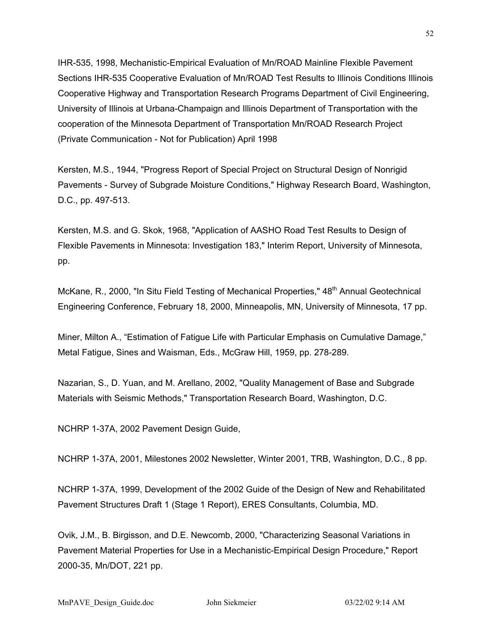IHR-535, 1998, Mechanistic-Empirical Evaluation of Mn/ROAD Mainline Flexible Pavement Sections IHR-535 Cooperative Evaluation of Mn/ROAD Test Results to Illinois Conditions Illinois Cooperative Highway and Transportation Research Programs Department of Civil Engineering, University of Illinois at Urbana-Champaign and Illinois Department of Transportation with the cooperation of the Minnesota Department of Transportation Mn/ROAD Research Project (Private Communication - Not for Publication) April 1998

Kersten, M.S., 1944, "Progress Report of Special Project on Structural Design of Nonrigid Pavements - Survey of Subgrade Moisture Conditions," Highway Research Board, Washington, D.C., pp. 497-513.

Kersten, M.S. and G. Skok, 1968, "Application of AASHO Road Test Results to Design of Flexible Pavements in Minnesota: Investigation 183," Interim Report, University of Minnesota, pp.

McKane, R., 2000, "In Situ Field Testing of Mechanical Properties," 48<sup>th</sup> Annual Geotechnical Engineering Conference, February 18, 2000, Minneapolis, MN, University of Minnesota, 17 pp.

Miner, Milton A., "Estimation of Fatigue Life with Particular Emphasis on Cumulative Damage," Metal Fatigue, Sines and Waisman, Eds., McGraw Hill, 1959, pp. 278-289.

Nazarian, S., D. Yuan, and M. Arellano, 2002, "Quality Management of Base and Subgrade Materials with Seismic Methods," Transportation Research Board, Washington, D.C.

NCHRP 1-37A, 2002 Pavement Design Guide,

NCHRP 1-37A, 2001, Milestones 2002 Newsletter, Winter 2001, TRB, Washington, D.C., 8 pp.

NCHRP 1-37A, 1999, Development of the 2002 Guide of the Design of New and Rehabilitated Pavement Structures Draft 1 (Stage 1 Report), ERES Consultants, Columbia, MD.

Ovik, J.M., B. Birgisson, and D.E. Newcomb, 2000, "Characterizing Seasonal Variations in Pavement Material Properties for Use in a Mechanistic-Empirical Design Procedure," Report 2000-35, Mn/DOT, 221 pp.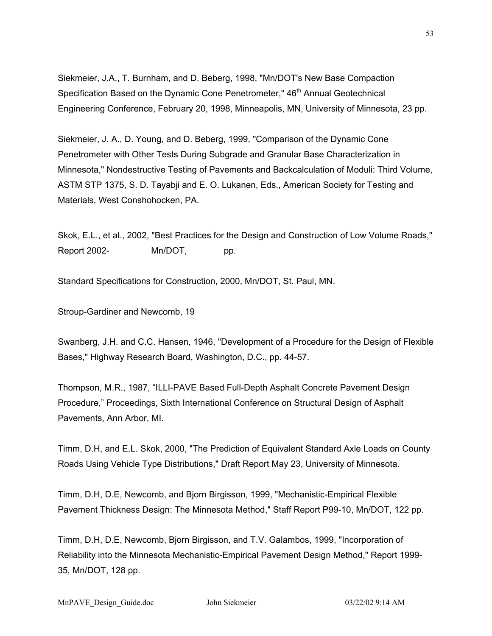Siekmeier, J.A., T. Burnham, and D. Beberg, 1998, "Mn/DOT's New Base Compaction Specification Based on the Dynamic Cone Penetrometer," 46<sup>th</sup> Annual Geotechnical Engineering Conference, February 20, 1998, Minneapolis, MN, University of Minnesota, 23 pp.

Siekmeier, J. A., D. Young, and D. Beberg, 1999, "Comparison of the Dynamic Cone Penetrometer with Other Tests During Subgrade and Granular Base Characterization in Minnesota," Nondestructive Testing of Pavements and Backcalculation of Moduli: Third Volume, ASTM STP 1375, S. D. Tayabji and E. O. Lukanen, Eds., American Society for Testing and Materials, West Conshohocken, PA.

Skok, E.L., et al., 2002, "Best Practices for the Design and Construction of Low Volume Roads," Report 2002- Mn/DOT, pp.

Standard Specifications for Construction, 2000, Mn/DOT, St. Paul, MN.

Stroup-Gardiner and Newcomb, 19

Swanberg, J.H. and C.C. Hansen, 1946, "Development of a Procedure for the Design of Flexible Bases," Highway Research Board, Washington, D.C., pp. 44-57.

Thompson, M.R., 1987, "ILLI-PAVE Based Full-Depth Asphalt Concrete Pavement Design Procedure," Proceedings, Sixth International Conference on Structural Design of Asphalt Pavements, Ann Arbor, MI.

Timm, D.H, and E.L. Skok, 2000, "The Prediction of Equivalent Standard Axle Loads on County Roads Using Vehicle Type Distributions," Draft Report May 23, University of Minnesota.

Timm, D.H, D.E, Newcomb, and Bjorn Birgisson, 1999, "Mechanistic-Empirical Flexible Pavement Thickness Design: The Minnesota Method," Staff Report P99-10, Mn/DOT, 122 pp.

Timm, D.H, D.E, Newcomb, Bjorn Birgisson, and T.V. Galambos, 1999, "Incorporation of Reliability into the Minnesota Mechanistic-Empirical Pavement Design Method," Report 1999- 35, Mn/DOT, 128 pp.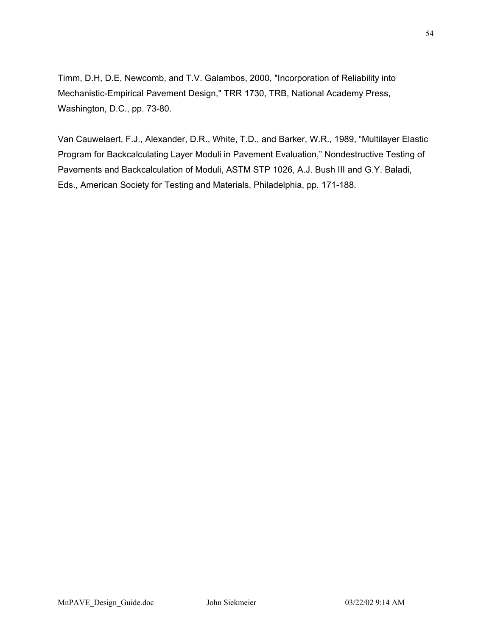Timm, D.H, D.E, Newcomb, and T.V. Galambos, 2000, "Incorporation of Reliability into Mechanistic-Empirical Pavement Design," TRR 1730, TRB, National Academy Press, Washington, D.C., pp. 73-80.

Van Cauwelaert, F.J., Alexander, D.R., White, T.D., and Barker, W.R., 1989, "Multilayer Elastic Program for Backcalculating Layer Moduli in Pavement Evaluation," Nondestructive Testing of Pavements and Backcalculation of Moduli, ASTM STP 1026, A.J. Bush III and G.Y. Baladi, Eds., American Society for Testing and Materials, Philadelphia, pp. 171-188.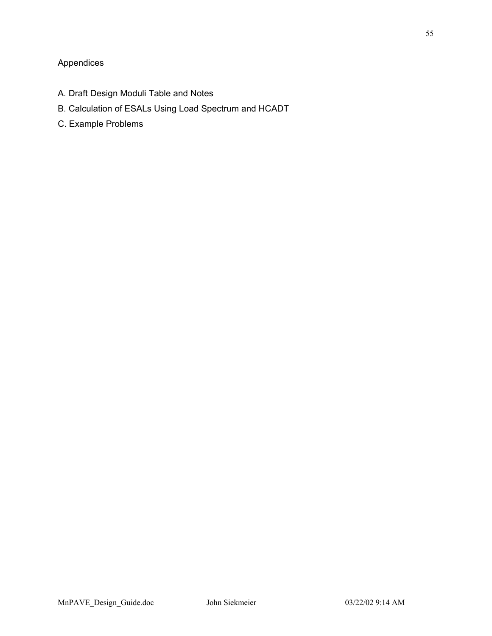# Appendices

- A. Draft Design Moduli Table and Notes
- B. Calculation of ESALs Using Load Spectrum and HCADT
- C. Example Problems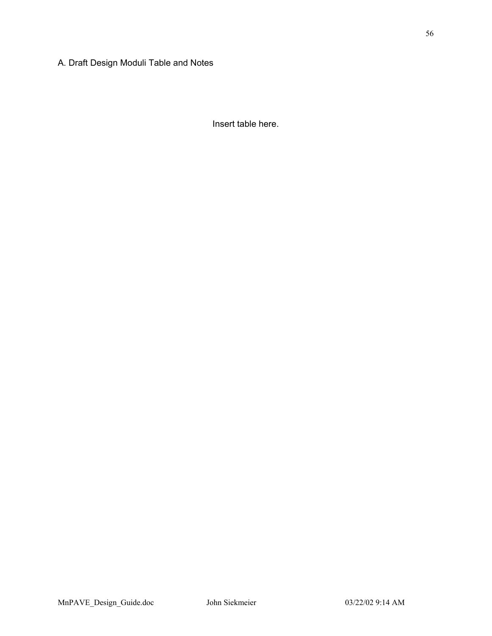Insert table here.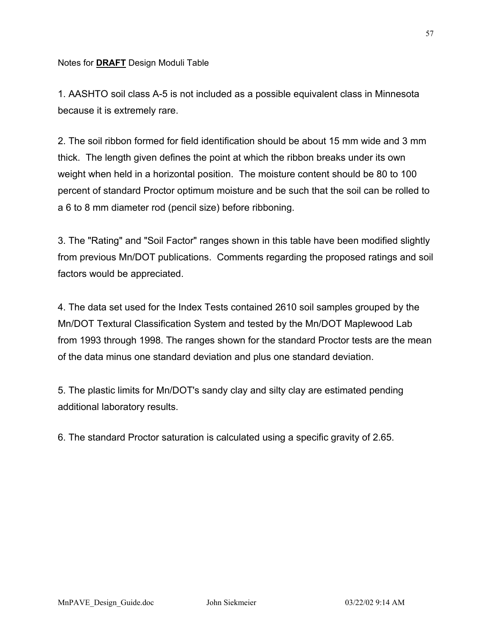# Notes for **DRAFT** Design Moduli Table

1. AASHTO soil class A-5 is not included as a possible equivalent class in Minnesota because it is extremely rare.

2. The soil ribbon formed for field identification should be about 15 mm wide and 3 mm thick. The length given defines the point at which the ribbon breaks under its own weight when held in a horizontal position. The moisture content should be 80 to 100 percent of standard Proctor optimum moisture and be such that the soil can be rolled to a 6 to 8 mm diameter rod (pencil size) before ribboning.

3. The "Rating" and "Soil Factor" ranges shown in this table have been modified slightly from previous Mn/DOT publications. Comments regarding the proposed ratings and soil factors would be appreciated.

4. The data set used for the Index Tests contained 2610 soil samples grouped by the Mn/DOT Textural Classification System and tested by the Mn/DOT Maplewood Lab from 1993 through 1998. The ranges shown for the standard Proctor tests are the mean of the data minus one standard deviation and plus one standard deviation.

5. The plastic limits for Mn/DOT's sandy clay and silty clay are estimated pending additional laboratory results.

6. The standard Proctor saturation is calculated using a specific gravity of 2.65.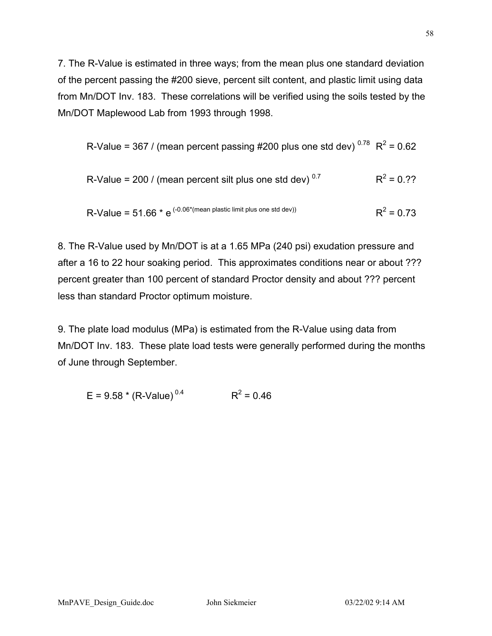7. The R-Value is estimated in three ways; from the mean plus one standard deviation of the percent passing the #200 sieve, percent silt content, and plastic limit using data from Mn/DOT Inv. 183. These correlations will be verified using the soils tested by the Mn/DOT Maplewood Lab from 1993 through 1998.

R-Value = 367 / (mean percent passing #200 plus one std dev)  $^{0.78}$  R<sup>2</sup> = 0.62

R-Value = 200 / (mean percent slit plus one std dev)<sup>0.7</sup> 
$$
R^2 = 0.?
$$

R-Value = 51.66 \* e<sup>(-0.06\*(mean plastic limit plus one std dev))</sup> 
$$
R^2 = 0.73
$$

8. The R-Value used by Mn/DOT is at a 1.65 MPa (240 psi) exudation pressure and after a 16 to 22 hour soaking period. This approximates conditions near or about ??? percent greater than 100 percent of standard Proctor density and about ??? percent less than standard Proctor optimum moisture.

9. The plate load modulus (MPa) is estimated from the R-Value using data from Mn/DOT Inv. 183. These plate load tests were generally performed during the months of June through September.

$$
E = 9.58 * (R-Value)^{0.4}
$$
  $R^2 = 0.46$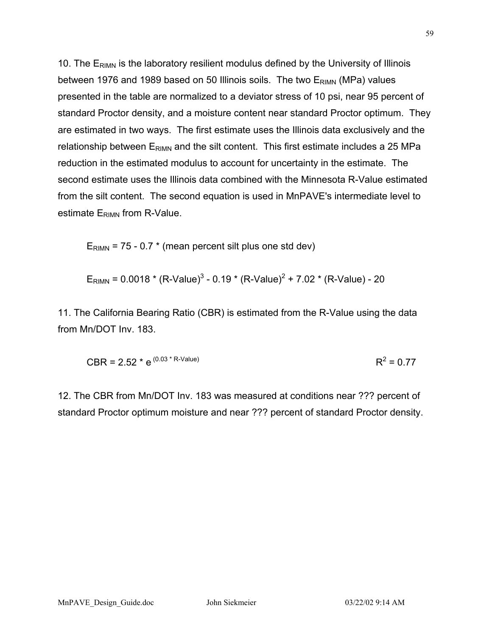10. The  $E_{RIMN}$  is the laboratory resilient modulus defined by the University of Illinois between 1976 and 1989 based on 50 Illinois soils. The two  $E_{RIMN}$  (MPa) values presented in the table are normalized to a deviator stress of 10 psi, near 95 percent of standard Proctor density, and a moisture content near standard Proctor optimum. They are estimated in two ways. The first estimate uses the Illinois data exclusively and the relationship between  $E_{\text{RIMN}}$  and the silt content. This first estimate includes a 25 MPa reduction in the estimated modulus to account for uncertainty in the estimate. The second estimate uses the Illinois data combined with the Minnesota R-Value estimated from the silt content. The second equation is used in MnPAVE's intermediate level to estimate  $E_{RIMN}$  from R-Value.

 $E_{\text{RIMN}}$  = 75 - 0.7  $*$  (mean percent silt plus one std dev)

$$
E_{\text{RIMN}} = 0.0018 \cdot (R\text{-Value})^3 - 0.19 \cdot (R\text{-Value})^2 + 7.02 \cdot (R\text{-Value}) - 20
$$

11. The California Bearing Ratio (CBR) is estimated from the R-Value using the data from Mn/DOT Inv. 183.

CBR = 2.52 \* 
$$
e^{(0.03 \times R\text{-Value})}
$$
 R<sup>2</sup> = 0.77

12. The CBR from Mn/DOT Inv. 183 was measured at conditions near ??? percent of standard Proctor optimum moisture and near ??? percent of standard Proctor density.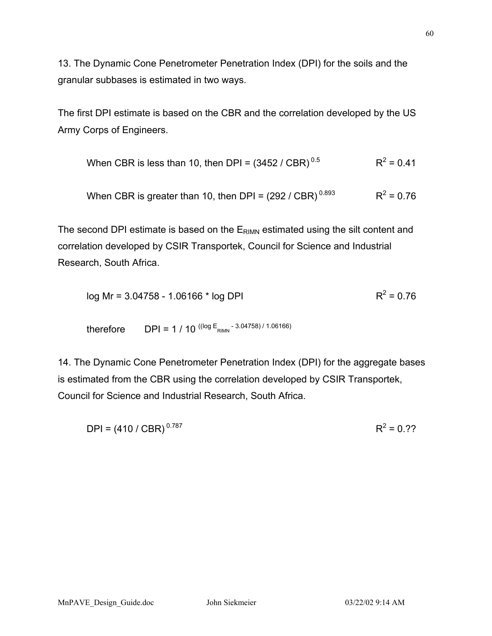13. The Dynamic Cone Penetrometer Penetration Index (DPI) for the soils and the granular subbases is estimated in two ways.

The first DPI estimate is based on the CBR and the correlation developed by the US Army Corps of Engineers.

When CBR is less than 10, then DPI = 
$$
(3452 / CBR)^{0.5}
$$
 R<sup>2</sup> = 0.41

When CBR is greater than 10, then DPI =  $(292 / CBR)^{0.893}$  R<sup>2</sup> = 0.76

The second DPI estimate is based on the E<sub>RIMN</sub> estimated using the silt content and correlation developed by CSIR Transportek, Council for Science and Industrial Research, South Africa.

$$
log Mr = 3.04758 - 1.06166 * log DPI
$$
 R<sup>2</sup> = 0.76

therefore 
$$
DPI = 1 / 10^{((log E_{RIMN} - 3.04758) / 1.06166)}
$$

14. The Dynamic Cone Penetrometer Penetration Index (DPI) for the aggregate bases is estimated from the CBR using the correlation developed by CSIR Transportek, Council for Science and Industrial Research, South Africa.

$$
DPI = (410 / CBR)^{0.787}
$$
 R<sup>2</sup> = 0.??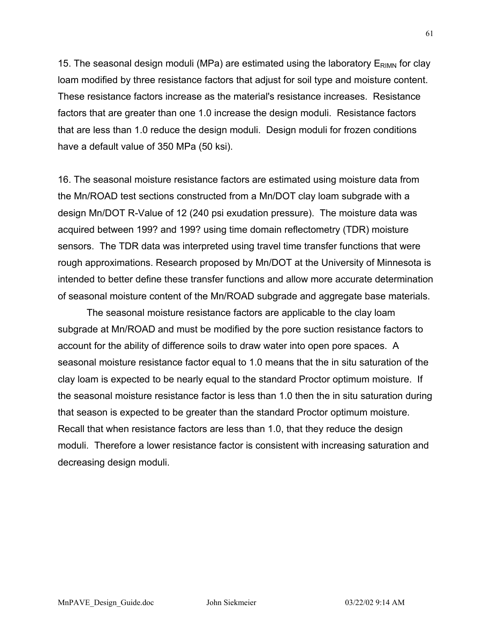15. The seasonal design moduli (MPa) are estimated using the laboratory  $E_{\text{RIMN}}$  for clay loam modified by three resistance factors that adjust for soil type and moisture content. These resistance factors increase as the material's resistance increases. Resistance factors that are greater than one 1.0 increase the design moduli. Resistance factors that are less than 1.0 reduce the design moduli. Design moduli for frozen conditions have a default value of 350 MPa (50 ksi).

16. The seasonal moisture resistance factors are estimated using moisture data from the Mn/ROAD test sections constructed from a Mn/DOT clay loam subgrade with a design Mn/DOT R-Value of 12 (240 psi exudation pressure). The moisture data was acquired between 199? and 199? using time domain reflectometry (TDR) moisture sensors. The TDR data was interpreted using travel time transfer functions that were rough approximations. Research proposed by Mn/DOT at the University of Minnesota is intended to better define these transfer functions and allow more accurate determination of seasonal moisture content of the Mn/ROAD subgrade and aggregate base materials.

The seasonal moisture resistance factors are applicable to the clay loam subgrade at Mn/ROAD and must be modified by the pore suction resistance factors to account for the ability of difference soils to draw water into open pore spaces. A seasonal moisture resistance factor equal to 1.0 means that the in situ saturation of the clay loam is expected to be nearly equal to the standard Proctor optimum moisture. If the seasonal moisture resistance factor is less than 1.0 then the in situ saturation during that season is expected to be greater than the standard Proctor optimum moisture. Recall that when resistance factors are less than 1.0, that they reduce the design moduli. Therefore a lower resistance factor is consistent with increasing saturation and decreasing design moduli.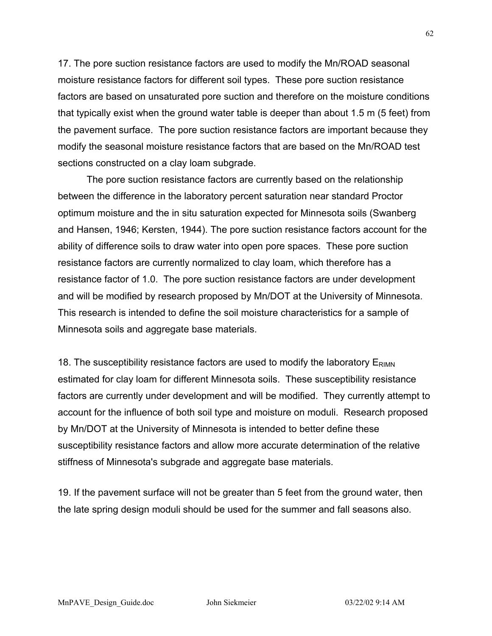17. The pore suction resistance factors are used to modify the Mn/ROAD seasonal moisture resistance factors for different soil types. These pore suction resistance factors are based on unsaturated pore suction and therefore on the moisture conditions that typically exist when the ground water table is deeper than about 1.5 m (5 feet) from the pavement surface. The pore suction resistance factors are important because they modify the seasonal moisture resistance factors that are based on the Mn/ROAD test sections constructed on a clay loam subgrade.

The pore suction resistance factors are currently based on the relationship between the difference in the laboratory percent saturation near standard Proctor optimum moisture and the in situ saturation expected for Minnesota soils (Swanberg and Hansen, 1946; Kersten, 1944). The pore suction resistance factors account for the ability of difference soils to draw water into open pore spaces. These pore suction resistance factors are currently normalized to clay loam, which therefore has a resistance factor of 1.0. The pore suction resistance factors are under development and will be modified by research proposed by Mn/DOT at the University of Minnesota. This research is intended to define the soil moisture characteristics for a sample of Minnesota soils and aggregate base materials.

18. The susceptibility resistance factors are used to modify the laboratory  $E_{\text{RIMN}}$ estimated for clay loam for different Minnesota soils. These susceptibility resistance factors are currently under development and will be modified. They currently attempt to account for the influence of both soil type and moisture on moduli. Research proposed by Mn/DOT at the University of Minnesota is intended to better define these susceptibility resistance factors and allow more accurate determination of the relative stiffness of Minnesota's subgrade and aggregate base materials.

19. If the pavement surface will not be greater than 5 feet from the ground water, then the late spring design moduli should be used for the summer and fall seasons also.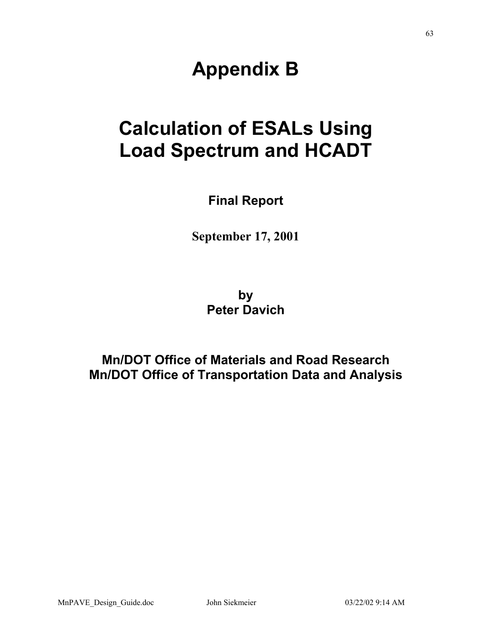# **Appendix B**

# **Calculation of ESALs Using Load Spectrum and HCADT**

**Final Report** 

**September 17, 2001** 

**by Peter Davich** 

**Mn/DOT Office of Materials and Road Research Mn/DOT Office of Transportation Data and Analysis**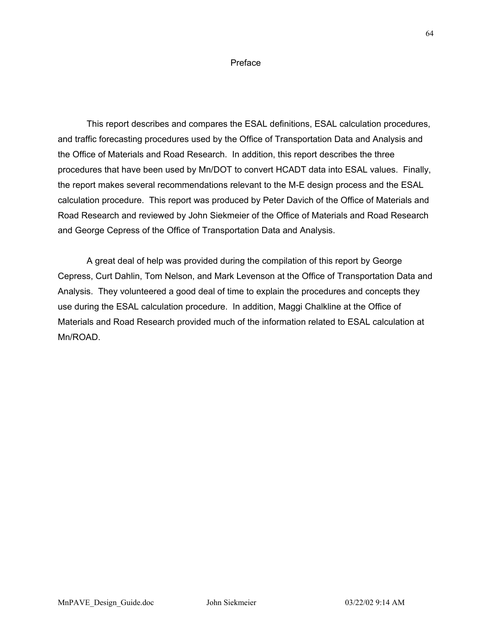### Preface

This report describes and compares the ESAL definitions, ESAL calculation procedures, and traffic forecasting procedures used by the Office of Transportation Data and Analysis and the Office of Materials and Road Research. In addition, this report describes the three procedures that have been used by Mn/DOT to convert HCADT data into ESAL values. Finally, the report makes several recommendations relevant to the M-E design process and the ESAL calculation procedure. This report was produced by Peter Davich of the Office of Materials and Road Research and reviewed by John Siekmeier of the Office of Materials and Road Research and George Cepress of the Office of Transportation Data and Analysis.

A great deal of help was provided during the compilation of this report by George Cepress, Curt Dahlin, Tom Nelson, and Mark Levenson at the Office of Transportation Data and Analysis. They volunteered a good deal of time to explain the procedures and concepts they use during the ESAL calculation procedure. In addition, Maggi Chalkline at the Office of Materials and Road Research provided much of the information related to ESAL calculation at Mn/ROAD.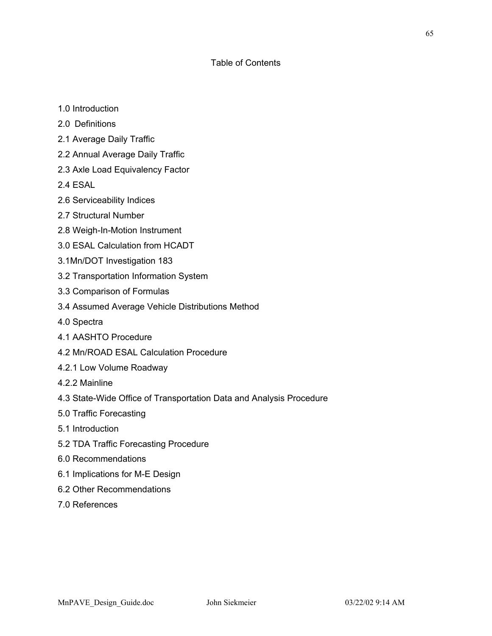# Table of Contents

- 1.0 Introduction
- 2.0 Definitions
- 2.1 Average Daily Traffic
- 2.2 Annual Average Daily Traffic
- 2.3 Axle Load Equivalency Factor
- 2.4 ESAL
- 2.6 Serviceability Indices
- 2.7 Structural Number
- 2.8 Weigh-In-Motion Instrument
- 3.0 ESAL Calculation from HCADT
- 3.1Mn/DOT Investigation 183
- 3.2 Transportation Information System
- 3.3 Comparison of Formulas
- 3.4 Assumed Average Vehicle Distributions Method
- 4.0 Spectra
- 4.1 AASHTO Procedure
- 4.2 Mn/ROAD ESAL Calculation Procedure
- 4.2.1 Low Volume Roadway
- 4.2.2 Mainline
- 4.3 State-Wide Office of Transportation Data and Analysis Procedure
- 5.0 Traffic Forecasting
- 5.1 Introduction
- 5.2 TDA Traffic Forecasting Procedure
- 6.0 Recommendations
- 6.1 Implications for M-E Design
- 6.2 Other Recommendations
- 7.0 References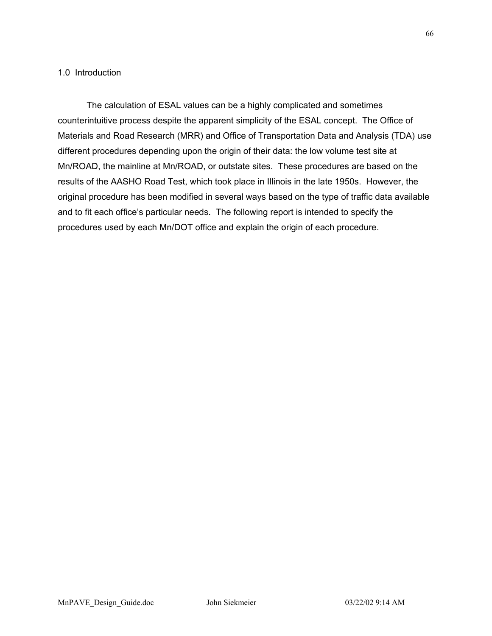# 1.0 Introduction

The calculation of ESAL values can be a highly complicated and sometimes counterintuitive process despite the apparent simplicity of the ESAL concept. The Office of Materials and Road Research (MRR) and Office of Transportation Data and Analysis (TDA) use different procedures depending upon the origin of their data: the low volume test site at Mn/ROAD, the mainline at Mn/ROAD, or outstate sites. These procedures are based on the results of the AASHO Road Test, which took place in Illinois in the late 1950s. However, the original procedure has been modified in several ways based on the type of traffic data available and to fit each office's particular needs. The following report is intended to specify the procedures used by each Mn/DOT office and explain the origin of each procedure.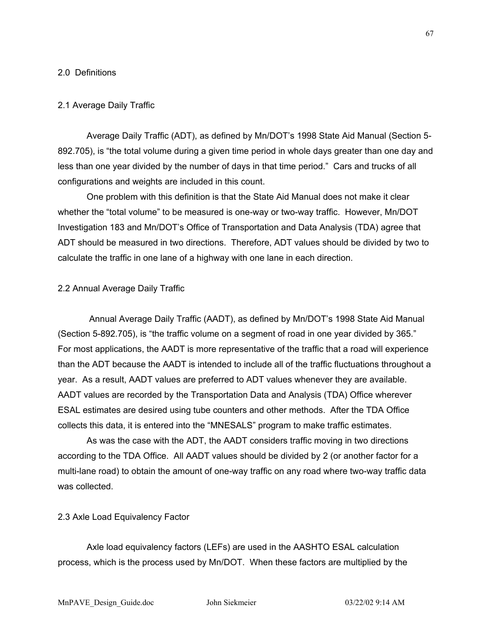## 2.0 Definitions

# 2.1 Average Daily Traffic

Average Daily Traffic (ADT), as defined by Mn/DOT's 1998 State Aid Manual (Section 5- 892.705), is "the total volume during a given time period in whole days greater than one day and less than one year divided by the number of days in that time period." Cars and trucks of all configurations and weights are included in this count.

One problem with this definition is that the State Aid Manual does not make it clear whether the "total volume" to be measured is one-way or two-way traffic. However, Mn/DOT Investigation 183 and Mn/DOT's Office of Transportation and Data Analysis (TDA) agree that ADT should be measured in two directions. Therefore, ADT values should be divided by two to calculate the traffic in one lane of a highway with one lane in each direction.

### 2.2 Annual Average Daily Traffic

 Annual Average Daily Traffic (AADT), as defined by Mn/DOT's 1998 State Aid Manual (Section 5-892.705), is "the traffic volume on a segment of road in one year divided by 365." For most applications, the AADT is more representative of the traffic that a road will experience than the ADT because the AADT is intended to include all of the traffic fluctuations throughout a year. As a result, AADT values are preferred to ADT values whenever they are available. AADT values are recorded by the Transportation Data and Analysis (TDA) Office wherever ESAL estimates are desired using tube counters and other methods. After the TDA Office collects this data, it is entered into the "MNESALS" program to make traffic estimates.

As was the case with the ADT, the AADT considers traffic moving in two directions according to the TDA Office. All AADT values should be divided by 2 (or another factor for a multi-lane road) to obtain the amount of one-way traffic on any road where two-way traffic data was collected.

### 2.3 Axle Load Equivalency Factor

Axle load equivalency factors (LEFs) are used in the AASHTO ESAL calculation process, which is the process used by Mn/DOT. When these factors are multiplied by the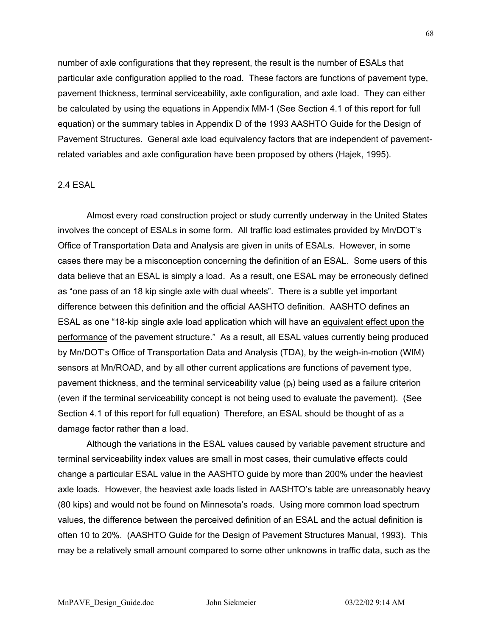number of axle configurations that they represent, the result is the number of ESALs that particular axle configuration applied to the road. These factors are functions of pavement type, pavement thickness, terminal serviceability, axle configuration, and axle load. They can either be calculated by using the equations in Appendix MM-1 (See Section 4.1 of this report for full equation) or the summary tables in Appendix D of the 1993 AASHTO Guide for the Design of Pavement Structures. General axle load equivalency factors that are independent of pavementrelated variables and axle configuration have been proposed by others (Hajek, 1995).

## 2.4 ESAL

Almost every road construction project or study currently underway in the United States involves the concept of ESALs in some form. All traffic load estimates provided by Mn/DOT's Office of Transportation Data and Analysis are given in units of ESALs. However, in some cases there may be a misconception concerning the definition of an ESAL. Some users of this data believe that an ESAL is simply a load. As a result, one ESAL may be erroneously defined as "one pass of an 18 kip single axle with dual wheels". There is a subtle yet important difference between this definition and the official AASHTO definition. AASHTO defines an ESAL as one "18-kip single axle load application which will have an equivalent effect upon the performance of the pavement structure." As a result, all ESAL values currently being produced by Mn/DOT's Office of Transportation Data and Analysis (TDA), by the weigh-in-motion (WIM) sensors at Mn/ROAD, and by all other current applications are functions of pavement type, pavement thickness, and the terminal serviceability value  $(p_t)$  being used as a failure criterion (even if the terminal serviceability concept is not being used to evaluate the pavement). (See Section 4.1 of this report for full equation) Therefore, an ESAL should be thought of as a damage factor rather than a load.

Although the variations in the ESAL values caused by variable pavement structure and terminal serviceability index values are small in most cases, their cumulative effects could change a particular ESAL value in the AASHTO guide by more than 200% under the heaviest axle loads. However, the heaviest axle loads listed in AASHTO's table are unreasonably heavy (80 kips) and would not be found on Minnesota's roads. Using more common load spectrum values, the difference between the perceived definition of an ESAL and the actual definition is often 10 to 20%. (AASHTO Guide for the Design of Pavement Structures Manual, 1993). This may be a relatively small amount compared to some other unknowns in traffic data, such as the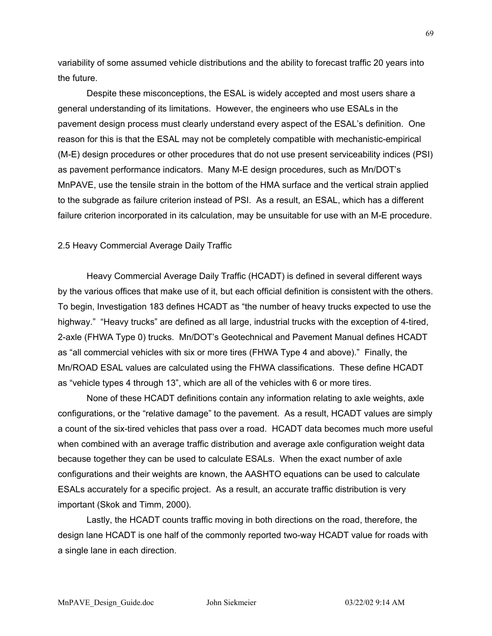variability of some assumed vehicle distributions and the ability to forecast traffic 20 years into the future.

Despite these misconceptions, the ESAL is widely accepted and most users share a general understanding of its limitations. However, the engineers who use ESALs in the pavement design process must clearly understand every aspect of the ESAL's definition. One reason for this is that the ESAL may not be completely compatible with mechanistic-empirical (M-E) design procedures or other procedures that do not use present serviceability indices (PSI) as pavement performance indicators. Many M-E design procedures, such as Mn/DOT's MnPAVE, use the tensile strain in the bottom of the HMA surface and the vertical strain applied to the subgrade as failure criterion instead of PSI. As a result, an ESAL, which has a different failure criterion incorporated in its calculation, may be unsuitable for use with an M-E procedure.

### 2.5 Heavy Commercial Average Daily Traffic

Heavy Commercial Average Daily Traffic (HCADT) is defined in several different ways by the various offices that make use of it, but each official definition is consistent with the others. To begin, Investigation 183 defines HCADT as "the number of heavy trucks expected to use the highway." "Heavy trucks" are defined as all large, industrial trucks with the exception of 4-tired, 2-axle (FHWA Type 0) trucks. Mn/DOT's Geotechnical and Pavement Manual defines HCADT as "all commercial vehicles with six or more tires (FHWA Type 4 and above)." Finally, the Mn/ROAD ESAL values are calculated using the FHWA classifications. These define HCADT as "vehicle types 4 through 13", which are all of the vehicles with 6 or more tires.

None of these HCADT definitions contain any information relating to axle weights, axle configurations, or the "relative damage" to the pavement. As a result, HCADT values are simply a count of the six-tired vehicles that pass over a road. HCADT data becomes much more useful when combined with an average traffic distribution and average axle configuration weight data because together they can be used to calculate ESALs. When the exact number of axle configurations and their weights are known, the AASHTO equations can be used to calculate ESALs accurately for a specific project. As a result, an accurate traffic distribution is very important (Skok and Timm, 2000).

Lastly, the HCADT counts traffic moving in both directions on the road, therefore, the design lane HCADT is one half of the commonly reported two-way HCADT value for roads with a single lane in each direction.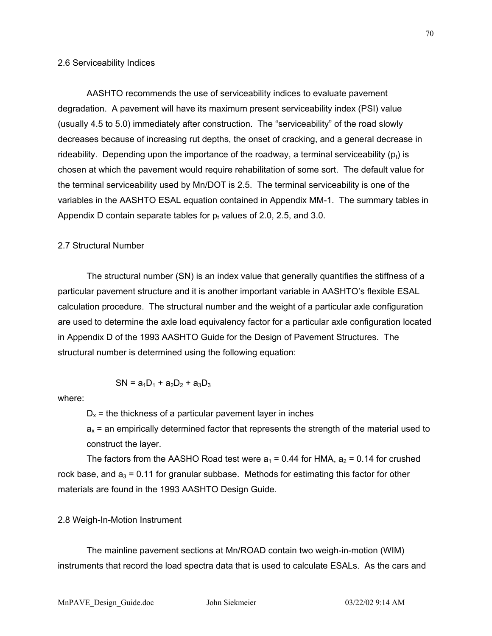#### 2.6 Serviceability Indices

AASHTO recommends the use of serviceability indices to evaluate pavement degradation. A pavement will have its maximum present serviceability index (PSI) value (usually 4.5 to 5.0) immediately after construction. The "serviceability" of the road slowly decreases because of increasing rut depths, the onset of cracking, and a general decrease in rideability. Depending upon the importance of the roadway, a terminal serviceability ( $p_t$ ) is chosen at which the pavement would require rehabilitation of some sort. The default value for the terminal serviceability used by Mn/DOT is 2.5. The terminal serviceability is one of the variables in the AASHTO ESAL equation contained in Appendix MM-1. The summary tables in Appendix D contain separate tables for  $p_t$  values of 2.0, 2.5, and 3.0.

# 2.7 Structural Number

The structural number (SN) is an index value that generally quantifies the stiffness of a particular pavement structure and it is another important variable in AASHTO's flexible ESAL calculation procedure. The structural number and the weight of a particular axle configuration are used to determine the axle load equivalency factor for a particular axle configuration located in Appendix D of the 1993 AASHTO Guide for the Design of Pavement Structures. The structural number is determined using the following equation:

$$
SN = a_1D_1 + a_2D_2 + a_3D_3
$$

where:

 $D<sub>x</sub>$  = the thickness of a particular pavement layer in inches

 $a<sub>x</sub>$  = an empirically determined factor that represents the strength of the material used to construct the layer.

The factors from the AASHO Road test were  $a_1 = 0.44$  for HMA,  $a_2 = 0.14$  for crushed rock base, and  $a_3 = 0.11$  for granular subbase. Methods for estimating this factor for other materials are found in the 1993 AASHTO Design Guide.

# 2.8 Weigh-In-Motion Instrument

The mainline pavement sections at Mn/ROAD contain two weigh-in-motion (WIM) instruments that record the load spectra data that is used to calculate ESALs. As the cars and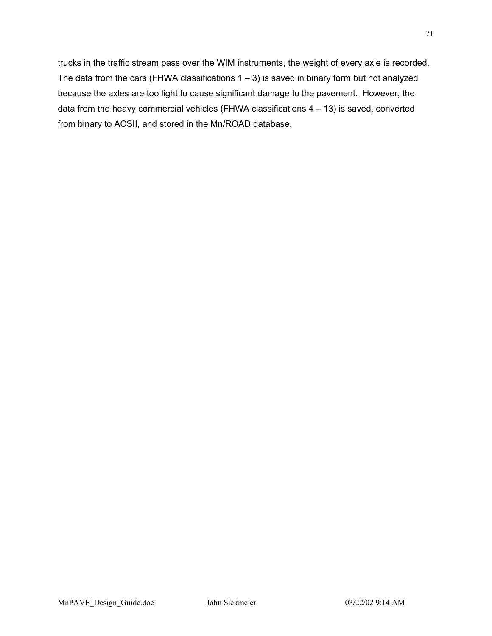trucks in the traffic stream pass over the WIM instruments, the weight of every axle is recorded. The data from the cars (FHWA classifications  $1 - 3$ ) is saved in binary form but not analyzed because the axles are too light to cause significant damage to the pavement. However, the data from the heavy commercial vehicles (FHWA classifications 4 – 13) is saved, converted from binary to ACSII, and stored in the Mn/ROAD database.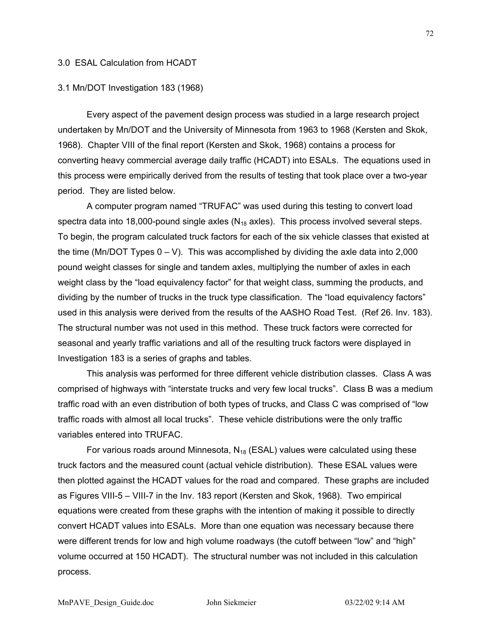### 3.0 ESAL Calculation from HCADT

### 3.1 Mn/DOT Investigation 183 (1968)

Every aspect of the pavement design process was studied in a large research project undertaken by Mn/DOT and the University of Minnesota from 1963 to 1968 (Kersten and Skok, 1968). Chapter VIII of the final report (Kersten and Skok, 1968) contains a process for converting heavy commercial average daily traffic (HCADT) into ESALs. The equations used in this process were empirically derived from the results of testing that took place over a two-year period. They are listed below.

A computer program named "TRUFAC" was used during this testing to convert load spectra data into 18,000-pound single axles  $(N_{18}$  axles). This process involved several steps. To begin, the program calculated truck factors for each of the six vehicle classes that existed at the time (Mn/DOT Types  $0 - V$ ). This was accomplished by dividing the axle data into 2,000 pound weight classes for single and tandem axles, multiplying the number of axles in each weight class by the "load equivalency factor" for that weight class, summing the products, and dividing by the number of trucks in the truck type classification. The "load equivalency factors" used in this analysis were derived from the results of the AASHO Road Test. (Ref 26. Inv. 183). The structural number was not used in this method. These truck factors were corrected for seasonal and yearly traffic variations and all of the resulting truck factors were displayed in Investigation 183 is a series of graphs and tables.

This analysis was performed for three different vehicle distribution classes. Class A was comprised of highways with "interstate trucks and very few local trucks". Class B was a medium traffic road with an even distribution of both types of trucks, and Class C was comprised of "low traffic roads with almost all local trucks". These vehicle distributions were the only traffic variables entered into TRUFAC.

For various roads around Minnesota,  $N_{18}$  (ESAL) values were calculated using these truck factors and the measured count (actual vehicle distribution). These ESAL values were then plotted against the HCADT values for the road and compared. These graphs are included as Figures VIII-5 – VIII-7 in the Inv. 183 report (Kersten and Skok, 1968). Two empirical equations were created from these graphs with the intention of making it possible to directly convert HCADT values into ESALs. More than one equation was necessary because there were different trends for low and high volume roadways (the cutoff between "low" and "high" volume occurred at 150 HCADT). The structural number was not included in this calculation process.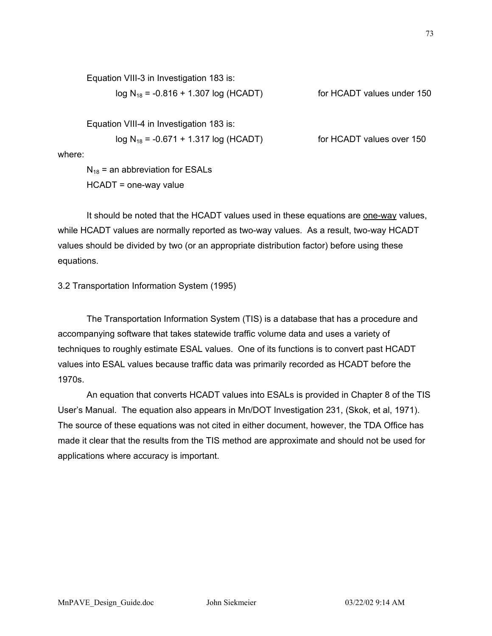Equation VIII-3 in Investigation 183 is:

$$
log N_{18} = -0.816 + 1.307 log (HCADT)
$$

for HCADT values under 150

Equation VIII-4 in Investigation 183 is:

$$
log N_{18} = -0.671 + 1.317 log (HCADT)
$$

for HCADT values over 150

where:

 $N_{18}$  = an abbreviation for ESALs HCADT = one-way value

It should be noted that the HCADT values used in these equations are one-way values, while HCADT values are normally reported as two-way values. As a result, two-way HCADT values should be divided by two (or an appropriate distribution factor) before using these equations.

3.2 Transportation Information System (1995)

The Transportation Information System (TIS) is a database that has a procedure and accompanying software that takes statewide traffic volume data and uses a variety of techniques to roughly estimate ESAL values. One of its functions is to convert past HCADT values into ESAL values because traffic data was primarily recorded as HCADT before the 1970s.

An equation that converts HCADT values into ESALs is provided in Chapter 8 of the TIS User's Manual. The equation also appears in Mn/DOT Investigation 231, (Skok, et al, 1971). The source of these equations was not cited in either document, however, the TDA Office has made it clear that the results from the TIS method are approximate and should not be used for applications where accuracy is important.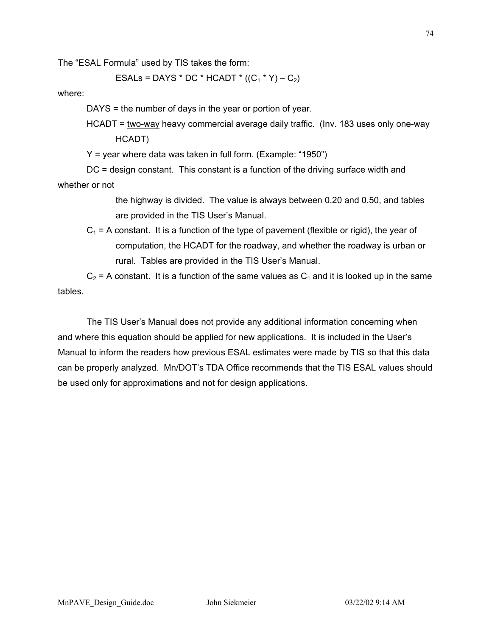The "ESAL Formula" used by TIS takes the form:

ESALs = DAYS \* DC \* HCADT \*  $((C_1 * Y) - C_2)$ 

where:

DAYS = the number of days in the year or portion of year.

HCADT = two-way heavy commercial average daily traffic. (Inv. 183 uses only one-way HCADT)

Y = year where data was taken in full form. (Example: "1950")

DC = design constant. This constant is a function of the driving surface width and whether or not

> the highway is divided. The value is always between 0.20 and 0.50, and tables are provided in the TIS User's Manual.

 $C_1$  = A constant. It is a function of the type of pavement (flexible or rigid), the year of computation, the HCADT for the roadway, and whether the roadway is urban or rural. Tables are provided in the TIS User's Manual.

 $C_2$  = A constant. It is a function of the same values as  $C_1$  and it is looked up in the same tables.

The TIS User's Manual does not provide any additional information concerning when and where this equation should be applied for new applications. It is included in the User's Manual to inform the readers how previous ESAL estimates were made by TIS so that this data can be properly analyzed. Mn/DOT's TDA Office recommends that the TIS ESAL values should be used only for approximations and not for design applications.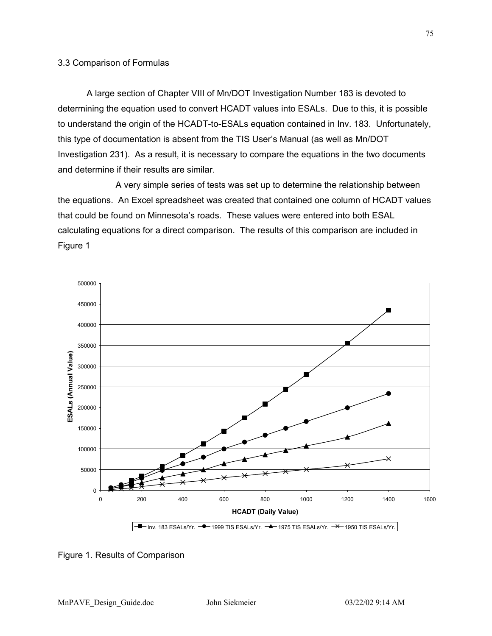## 3.3 Comparison of Formulas

A large section of Chapter VIII of Mn/DOT Investigation Number 183 is devoted to determining the equation used to convert HCADT values into ESALs. Due to this, it is possible to understand the origin of the HCADT-to-ESALs equation contained in Inv. 183. Unfortunately, this type of documentation is absent from the TIS User's Manual (as well as Mn/DOT Investigation 231). As a result, it is necessary to compare the equations in the two documents and determine if their results are similar.

A very simple series of tests was set up to determine the relationship between the equations. An Excel spreadsheet was created that contained one column of HCADT values that could be found on Minnesota's roads. These values were entered into both ESAL calculating equations for a direct comparison. The results of this comparison are included in Figure 1



Figure 1. Results of Comparison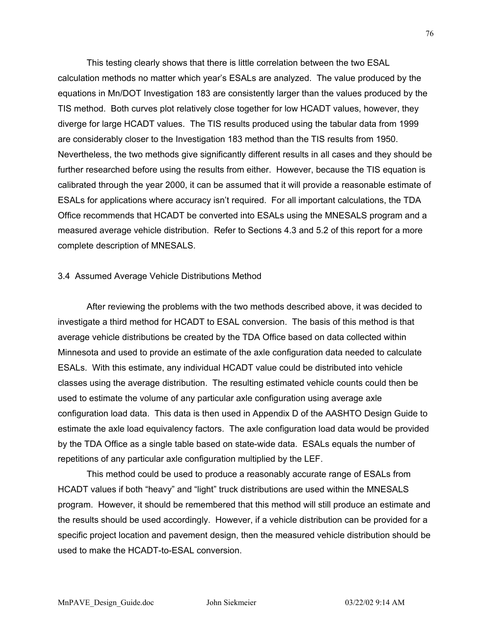This testing clearly shows that there is little correlation between the two ESAL calculation methods no matter which year's ESALs are analyzed. The value produced by the equations in Mn/DOT Investigation 183 are consistently larger than the values produced by the TIS method. Both curves plot relatively close together for low HCADT values, however, they diverge for large HCADT values. The TIS results produced using the tabular data from 1999 are considerably closer to the Investigation 183 method than the TIS results from 1950. Nevertheless, the two methods give significantly different results in all cases and they should be further researched before using the results from either. However, because the TIS equation is calibrated through the year 2000, it can be assumed that it will provide a reasonable estimate of ESALs for applications where accuracy isn't required. For all important calculations, the TDA Office recommends that HCADT be converted into ESALs using the MNESALS program and a measured average vehicle distribution. Refer to Sections 4.3 and 5.2 of this report for a more complete description of MNESALS.

## 3.4 Assumed Average Vehicle Distributions Method

After reviewing the problems with the two methods described above, it was decided to investigate a third method for HCADT to ESAL conversion. The basis of this method is that average vehicle distributions be created by the TDA Office based on data collected within Minnesota and used to provide an estimate of the axle configuration data needed to calculate ESALs. With this estimate, any individual HCADT value could be distributed into vehicle classes using the average distribution. The resulting estimated vehicle counts could then be used to estimate the volume of any particular axle configuration using average axle configuration load data. This data is then used in Appendix D of the AASHTO Design Guide to estimate the axle load equivalency factors. The axle configuration load data would be provided by the TDA Office as a single table based on state-wide data. ESALs equals the number of repetitions of any particular axle configuration multiplied by the LEF.

This method could be used to produce a reasonably accurate range of ESALs from HCADT values if both "heavy" and "light" truck distributions are used within the MNESALS program. However, it should be remembered that this method will still produce an estimate and the results should be used accordingly. However, if a vehicle distribution can be provided for a specific project location and pavement design, then the measured vehicle distribution should be used to make the HCADT-to-ESAL conversion.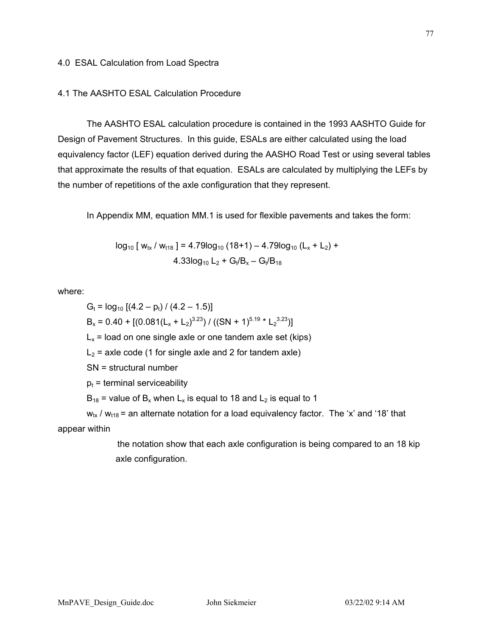# 4.1 The AASHTO ESAL Calculation Procedure

The AASHTO ESAL calculation procedure is contained in the 1993 AASHTO Guide for Design of Pavement Structures. In this guide, ESALs are either calculated using the load equivalency factor (LEF) equation derived during the AASHO Road Test or using several tables that approximate the results of that equation. ESALs are calculated by multiplying the LEFs by the number of repetitions of the axle configuration that they represent.

In Appendix MM, equation MM.1 is used for flexible pavements and takes the form:

$$
\log_{10} [ w_{tx} / w_{t18} ] = 4.79 \log_{10} (18+1) - 4.79 \log_{10} (L_x + L_2) + 4.33 \log_{10} L_2 + G_t / B_x - G_t / B_{18}
$$

where:

 $G_t = log_{10} [(4.2 - p_t) / (4.2 - 1.5)]$  $B_x = 0.40 + [(0.081(L_x + L_2)^{3.23}) / ((SN + 1)^{5.19} * L_2^{3.23})]$  $L<sub>x</sub>$  = load on one single axle or one tandem axle set (kips)  $L_2$  = axle code (1 for single axle and 2 for tandem axle) SN = structural number  $p_t$  = terminal serviceability  $B_{18}$  = value of  $B_x$  when  $L_x$  is equal to 18 and  $L_2$  is equal to 1

 $w_{tx}$  /  $w_{t18}$  = an alternate notation for a load equivalency factor. The 'x' and '18' that appear within

> the notation show that each axle configuration is being compared to an 18 kip axle configuration.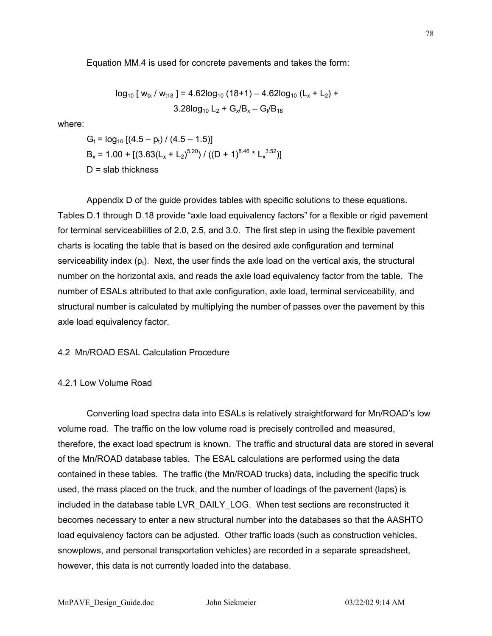Equation MM.4 is used for concrete pavements and takes the form:

$$
log_{10} [ wtx / wtr8 ] = 4.62log10 (18+1) - 4.62log10 (Lx + L2) +3.28log10 L2 + Gx/Bx - Gt/B18
$$

where:

$$
G_t = \log_{10} \left[ (4.5 - p_t) / (4.5 - 1.5) \right]
$$
  
\n
$$
B_x = 1.00 + \left[ (3.63(L_x + L_2)^{5.20}) / ((D + 1)^{8.46} * L_x^{3.52}) \right]
$$
  
\n
$$
D = \text{slab thickness}
$$

Appendix D of the guide provides tables with specific solutions to these equations. Tables D.1 through D.18 provide "axle load equivalency factors" for a flexible or rigid pavement for terminal serviceabilities of 2.0, 2.5, and 3.0. The first step in using the flexible pavement charts is locating the table that is based on the desired axle configuration and terminal serviceability index  $(p_t)$ . Next, the user finds the axle load on the vertical axis, the structural number on the horizontal axis, and reads the axle load equivalency factor from the table. The number of ESALs attributed to that axle configuration, axle load, terminal serviceability, and structural number is calculated by multiplying the number of passes over the pavement by this axle load equivalency factor.

## 4.2 Mn/ROAD ESAL Calculation Procedure

#### 4.2.1 Low Volume Road

Converting load spectra data into ESALs is relatively straightforward for Mn/ROAD's low volume road. The traffic on the low volume road is precisely controlled and measured, therefore, the exact load spectrum is known. The traffic and structural data are stored in several of the Mn/ROAD database tables. The ESAL calculations are performed using the data contained in these tables. The traffic (the Mn/ROAD trucks) data, including the specific truck used, the mass placed on the truck, and the number of loadings of the pavement (laps) is included in the database table LVR\_DAILY\_LOG. When test sections are reconstructed it becomes necessary to enter a new structural number into the databases so that the AASHTO load equivalency factors can be adjusted. Other traffic loads (such as construction vehicles, snowplows, and personal transportation vehicles) are recorded in a separate spreadsheet, however, this data is not currently loaded into the database.